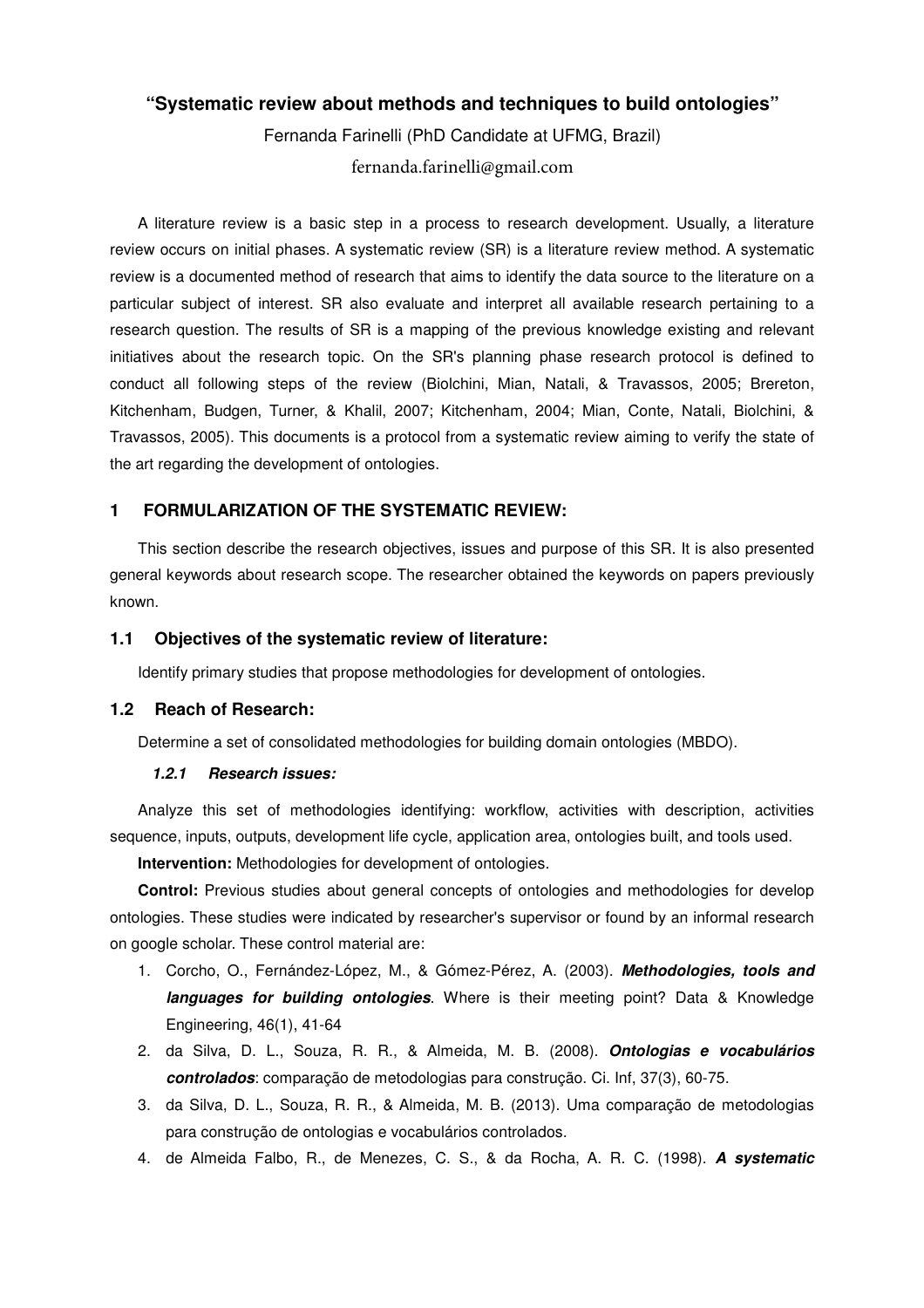### **"Systematic review about methods and techniques to build ontologies"**

Fernanda Farinelli (PhD Candidate at UFMG, Brazil) fernanda.farinelli@gmail.com

A literature review is a basic step in a process to research development. Usually, a literature review occurs on initial phases. A systematic review (SR) is a literature review method. A systematic review is a documented method of research that aims to identify the data source to the literature on a particular subject of interest. SR also evaluate and interpret all available research pertaining to a research question. The results of SR is a mapping of the previous knowledge existing and relevant initiatives about the research topic. On the SR's planning phase research protocol is defined to conduct all following steps of the review (Biolchini, Mian, Natali, & Travassos, 2005; Brereton, Kitchenham, Budgen, Turner, & Khalil, 2007; Kitchenham, 2004; Mian, Conte, Natali, Biolchini, & Travassos, 2005). This documents is a protocol from a systematic review aiming to verify the state of the art regarding the development of ontologies.

#### **1 FORMULARIZATION OF THE SYSTEMATIC REVIEW:**

This section describe the research objectives, issues and purpose of this SR. It is also presented general keywords about research scope. The researcher obtained the keywords on papers previously known.

#### **1.1 Objectives of the systematic review of literature:**

Identify primary studies that propose methodologies for development of ontologies.

## **1.2 Reach of Research:**

Determine a set of consolidated methodologies for building domain ontologies (MBDO).

### **1.2.1 Research issues:**

Analyze this set of methodologies identifying: workflow, activities with description, activities sequence, inputs, outputs, development life cycle, application area, ontologies built, and tools used.

**Intervention:** Methodologies for development of ontologies.

**Control:** Previous studies about general concepts of ontologies and methodologies for develop ontologies. These studies were indicated by researcher's supervisor or found by an informal research on google scholar. These control material are:

- 1. Corcho, O., Fernández-López, M., & Gómez-Pérez, A. (2003). **Methodologies, tools and languages for building ontologies**. Where is their meeting point? Data & Knowledge Engineering, 46(1), 41-64
- 2. da Silva, D. L., Souza, R. R., & Almeida, M. B. (2008). **Ontologias e vocabulários controlados**: comparação de metodologias para construção. Ci. Inf, 37(3), 60-75.
- 3. da Silva, D. L., Souza, R. R., & Almeida, M. B. (2013). Uma comparação de metodologias para construção de ontologias e vocabulários controlados.
- 4. de Almeida Falbo, R., de Menezes, C. S., & da Rocha, A. R. C. (1998). **A systematic**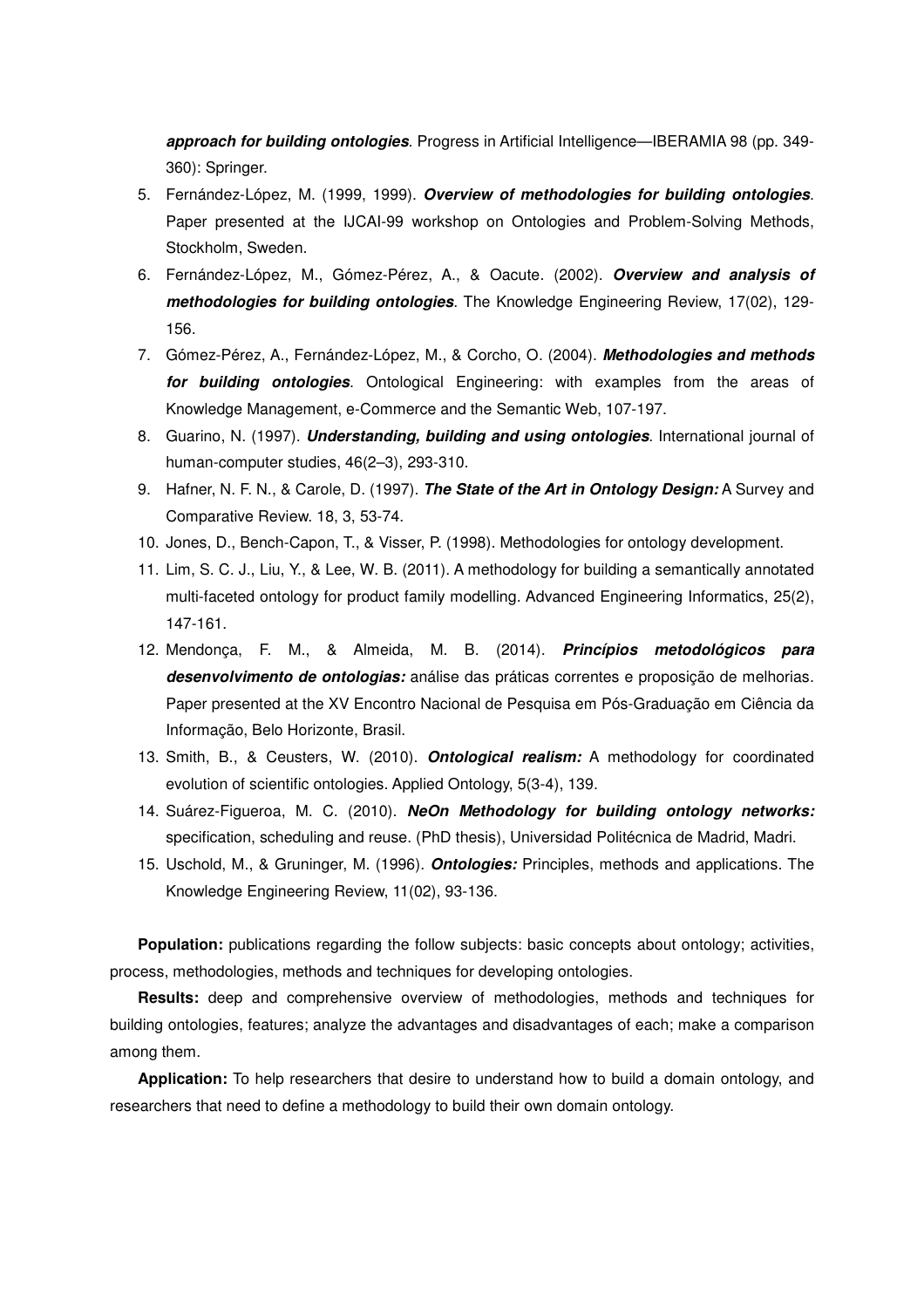**approach for building ontologies**. Progress in Artificial Intelligence—IBERAMIA 98 (pp. 349- 360): Springer.

- 5. Fernández-López, M. (1999, 1999). **Overview of methodologies for building ontologies**. Paper presented at the IJCAI-99 workshop on Ontologies and Problem-Solving Methods, Stockholm, Sweden.
- 6. Fernández-López, M., Gómez-Pérez, A., & Oacute. (2002). **Overview and analysis of methodologies for building ontologies**. The Knowledge Engineering Review, 17(02), 129- 156.
- 7. Gómez-Pérez, A., Fernández-López, M., & Corcho, O. (2004). **Methodologies and methods for building ontologies**. Ontological Engineering: with examples from the areas of Knowledge Management, e-Commerce and the Semantic Web, 107-197.
- 8. Guarino, N. (1997). **Understanding, building and using ontologies**. International journal of human-computer studies, 46(2–3), 293-310.
- 9. Hafner, N. F. N., & Carole, D. (1997). **The State of the Art in Ontology Design:** A Survey and Comparative Review. 18, 3, 53-74.
- 10. Jones, D., Bench-Capon, T., & Visser, P. (1998). Methodologies for ontology development.
- 11. Lim, S. C. J., Liu, Y., & Lee, W. B. (2011). A methodology for building a semantically annotated multi-faceted ontology for product family modelling. Advanced Engineering Informatics, 25(2), 147-161.
- 12. Mendonça, F. M., & Almeida, M. B. (2014). **Princípios metodológicos para desenvolvimento de ontologias:** análise das práticas correntes e proposição de melhorias. Paper presented at the XV Encontro Nacional de Pesquisa em Pós-Graduação em Ciência da Informação, Belo Horizonte, Brasil.
- 13. Smith, B., & Ceusters, W. (2010). **Ontological realism:** A methodology for coordinated evolution of scientific ontologies. Applied Ontology, 5(3-4), 139.
- 14. Suárez-Figueroa, M. C. (2010). **NeOn Methodology for building ontology networks:** specification, scheduling and reuse. (PhD thesis), Universidad Politécnica de Madrid, Madri.
- 15. Uschold, M., & Gruninger, M. (1996). **Ontologies:** Principles, methods and applications. The Knowledge Engineering Review, 11(02), 93-136.

**Population:** publications regarding the follow subjects: basic concepts about ontology; activities, process, methodologies, methods and techniques for developing ontologies.

**Results:** deep and comprehensive overview of methodologies, methods and techniques for building ontologies, features; analyze the advantages and disadvantages of each; make a comparison among them.

**Application:** To help researchers that desire to understand how to build a domain ontology, and researchers that need to define a methodology to build their own domain ontology.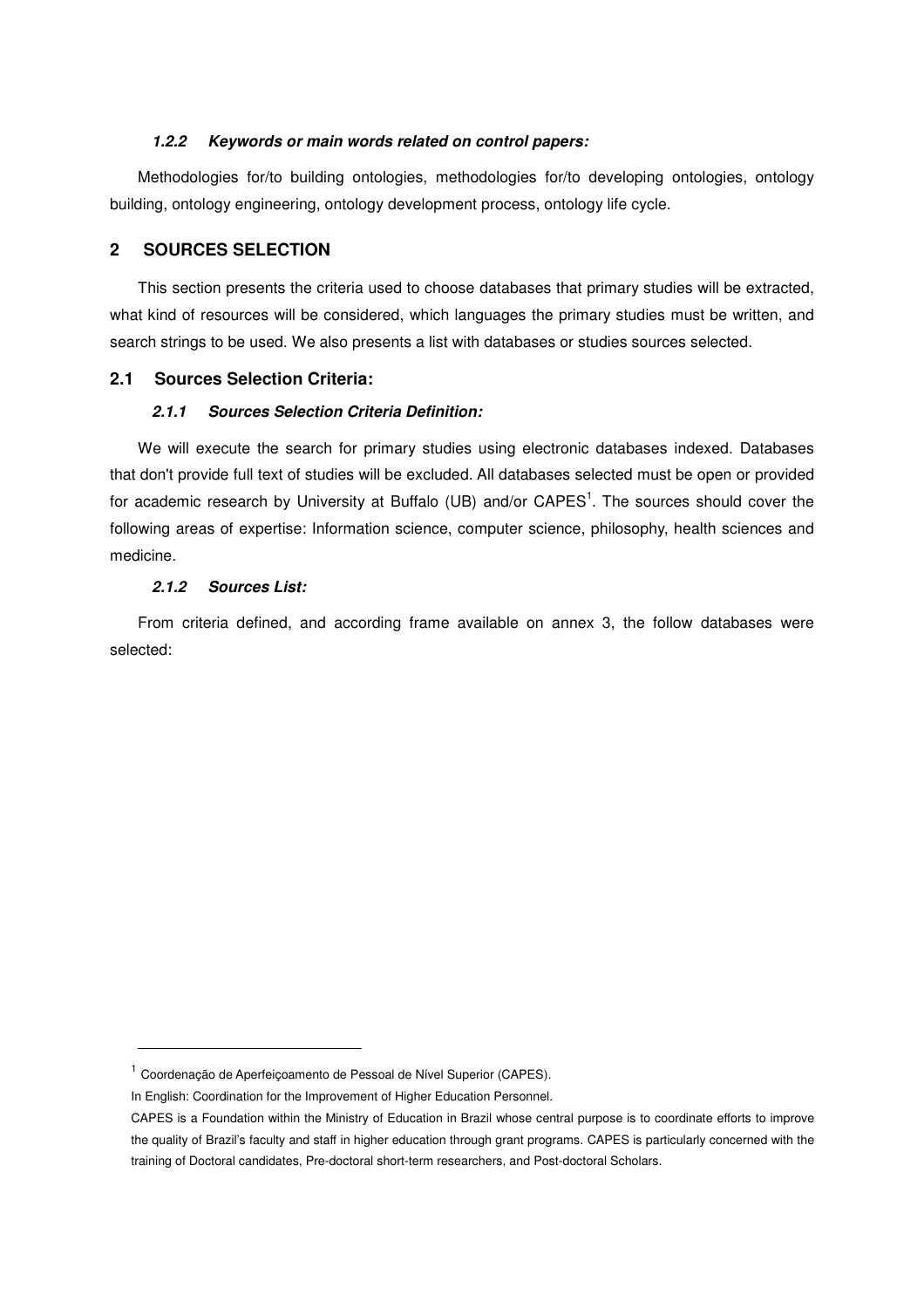#### **1.2.2 Keywords or main words related on control papers:**

Methodologies for/to building ontologies, methodologies for/to developing ontologies, ontology building, ontology engineering, ontology development process, ontology life cycle.

## **2 SOURCES SELECTION**

This section presents the criteria used to choose databases that primary studies will be extracted, what kind of resources will be considered, which languages the primary studies must be written, and search strings to be used. We also presents a list with databases or studies sources selected.

#### **2.1 Sources Selection Criteria:**

#### **2.1.1 Sources Selection Criteria Definition:**

We will execute the search for primary studies using electronic databases indexed. Databases that don't provide full text of studies will be excluded. All databases selected must be open or provided for academic research by University at Buffalo (UB) and/or  $CAPES<sup>1</sup>$ . The sources should cover the following areas of expertise: Information science, computer science, philosophy, health sciences and medicine.

## **2.1.2 Sources List:**

-

From criteria defined, and according frame available on annex 3, the follow databases were selected:

<sup>&</sup>lt;sup>1</sup> Coordenação de Aperfeiçoamento de Pessoal de Nível Superior (CAPES).

In English: Coordination for the Improvement of Higher Education Personnel.

CAPES is a Foundation within the Ministry of Education in Brazil whose central purpose is to coordinate efforts to improve the quality of Brazil's faculty and staff in higher education through grant programs. CAPES is particularly concerned with the training of Doctoral candidates, Pre-doctoral short-term researchers, and Post-doctoral Scholars.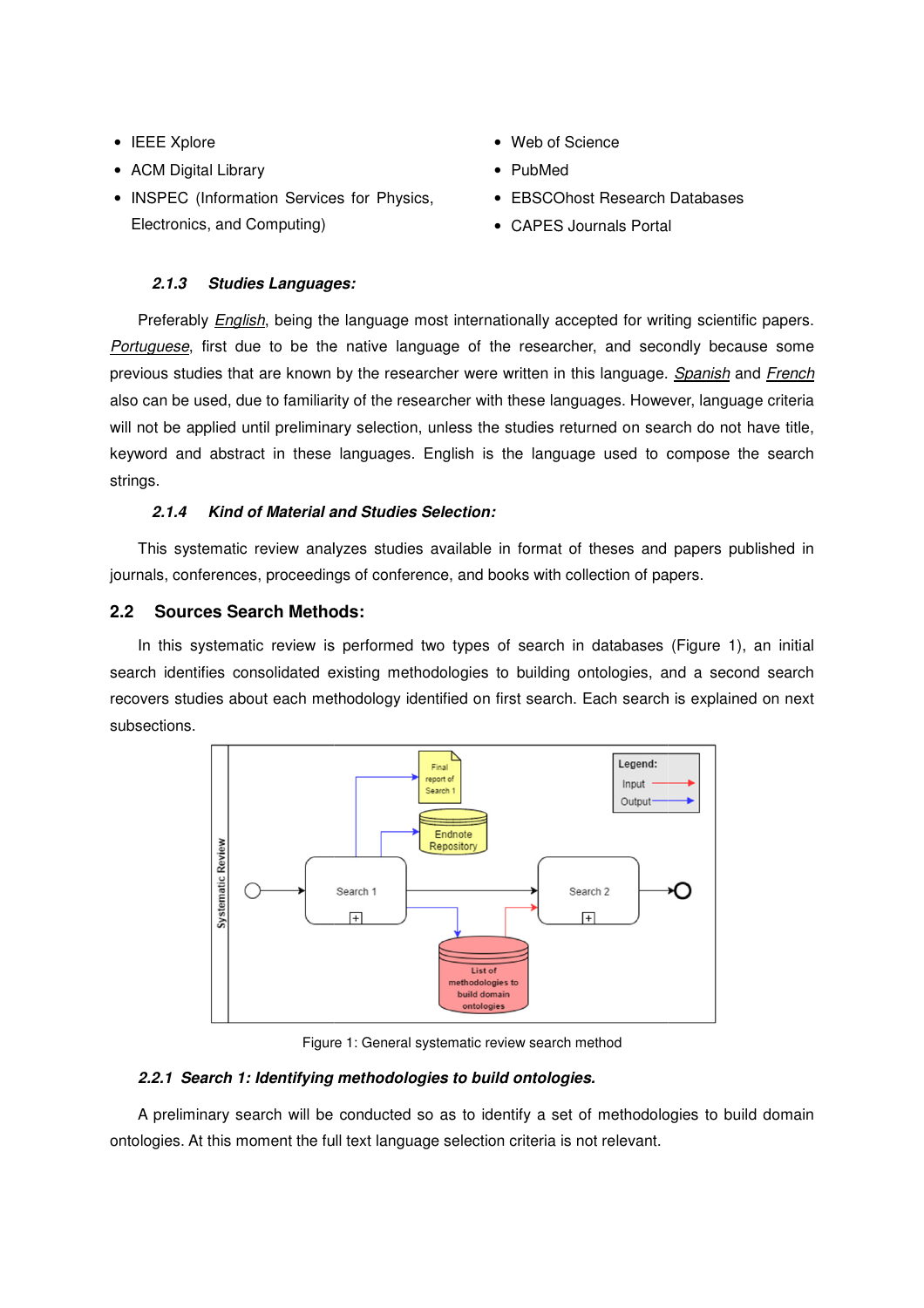- IEEE Xplore
- ACM Digital Library
- INSPEC (Information Services for Physics, Electronics, and Computing)
- Web of Science
- PubMed
- EBSCOhost Research Databases
- CAPES Journals Portal

## **2.1.3 Studies Languages:**

Preferably *English*, being the language most internationally accepted for writing scientific papers. Portuguese, first due to be the native language of the researcher, and secondly because some previous studies that are known by the researcher were written in this language. *Spanish* and French also can be used, due to familiarity of the researcher with these languages. However, language criteria will not be applied until preliminary selection, unless the studies returned on search do not have title, will not be applied until preliminary selection, unless the studies returned on search do not have title,<br>keyword and abstract in these languages. English is the language used to compose the search strings.

## **2.1.4 Kind of Material and Studies Selection:**

This systematic review analyzes studies available in format of theses and papers published in journals, conferences, proceedings of conference, and books with collection of papers.

## **2.2 Sources Search Methods:**

mals, conferences, proceedings of conference, and books with collection of papers.<br> **Sources Search Methods:**<br>
In this systematic review is performed two types of search in databases (Figure 1), an initial search identifies consolidated existing methodologies to building ontologies, and a second search recovers studies about each methodology identified on first search. Each search is explained on next subsections.



Figure 1: General systematic review search method

#### **2.2.1 Search 1: Identifying methodologies to build ontologies.**

A preliminary search will be conducted so as to identify a set of methodologies to build domain ontologies. At this moment the full text language selection criteria is not relevant.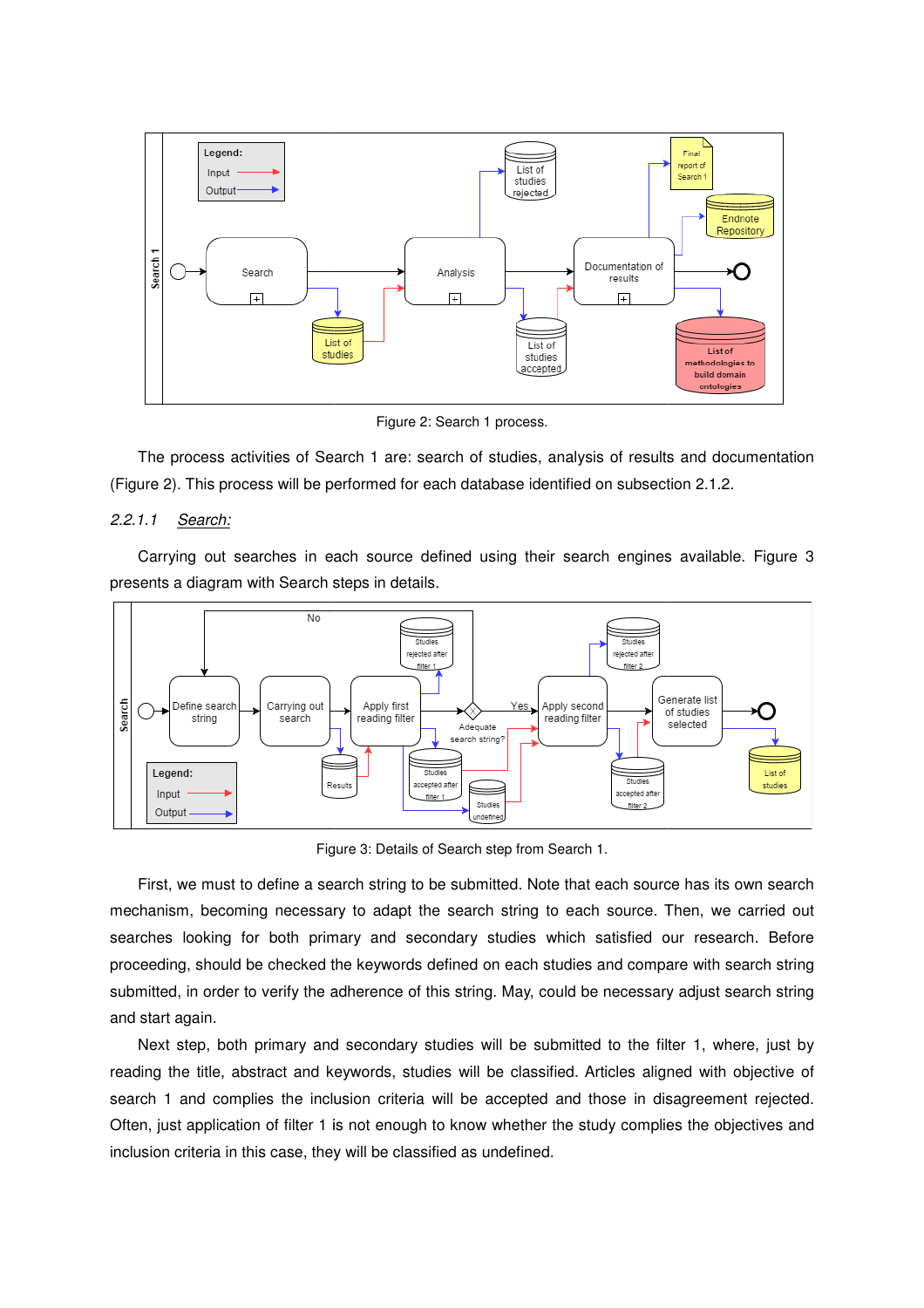

Figure 2: Search 1 process.

The process activities of Search 1 are: search of studies, analysis of results and documentation (Figure 2). This process will be performed for each database identified on subsection

#### 2.2.1.1 Search:

Carrying out searches in each source defined using their search engines available. Figure 3 presents a diagram with Search steps in details.



Figure 3: Details of Search step from Search 1.

First, we must to define a search string to be submitted. Note that each source has its own search mechanism, becoming necessary to adapt the search string to each source. Then, we carried out searches looking for both primary and secondary studies which satisfied our research. Before proceeding, should be checked the keywords defined on each studies and compare with search string submitted, in order to verify the adherence of this string. May, could be necessary adjust search string and start again.

Next step, both primary and secondary studies will be submitted to the filter 1, where, just by reading the title, abstract and keywords, studies will be classified. Articles aligned with objective of search 1 and complies the inclusion criteria will be accepted and those in disagreement rejected. Often, just application of filter 1 is not enough to know whether the study complies the objectives and inclusion criteria in this case, they will be classified as undefined.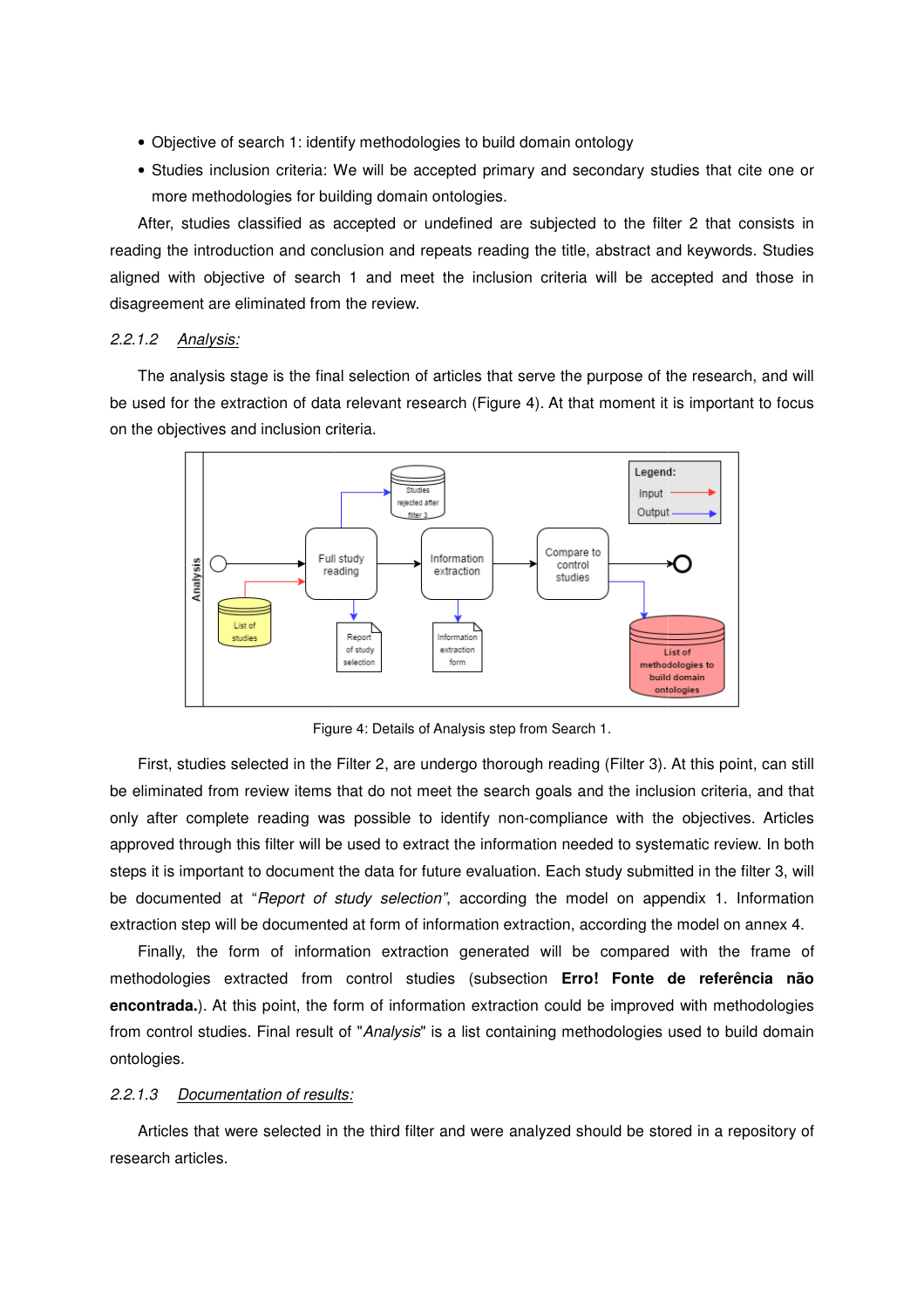- Objective of search 1: identify methodologies to build domain ontology
- Studies inclusion criteria: We will be accepted primary and secondary studies that cite one or more methodologies for building domain ontologies.

After, studies classified as accepted or undefined are subjected to the filter 2 that consists in reading the introduction and conclusion and repeats reading the title, abstract and keywords. Studies aligned with objective of search 1 and meet the inclusion criteria will be accepted and those in disagreement are eliminated from the review. or building domain ontologies.<br>
as accepted or undefined are subjected to the filter 2 that consists in<br>
d conclusion and repeats reading the title, abstract and keywords. Studies<br>
earch 1 and meet the inclusion criteria w

#### 2.2.1.2 Analysis:

The analysis stage is the final selection of articles that serve the purpose of the research, and will be used for the extraction of data relevant research (Figure 4). At that moment it is important to focus on the objectives and inclusion criteria.



Figure 4: Details of Analysis step from Search 1.

First, studies selected in the Filter 2, are undergo thorough reading (Filter 3). At this point, can still be eliminated from review items that do not meet the search goals and the inclusion criteria, and that only after complete reading was possible to identify non-compliance with the objectives. approved through this filter will be used to extract the information needed to systematic review. In both steps it is important to document the data for future evaluation. Each study submitted in the filter 3, will be documented at "*Report of study selection"*, according the model on appendix 1. Information extraction step will be documented at form of information extraction, according the model on annex 4.

Finally, the form of information extraction generated will be compared with the frame of methodologies extracted from control studies (subsection Erro! Fonte de referência não encontrada.). At this point, the form of information extraction could be improved with methodologies from control studies. Final result of "Analysis" is a list containing methodologies used to build domain ontologies.

#### 2.2.1.3 Documentation of results:

Articles that were selected in the third filter and were analyzed should be stored in a repository of research articles.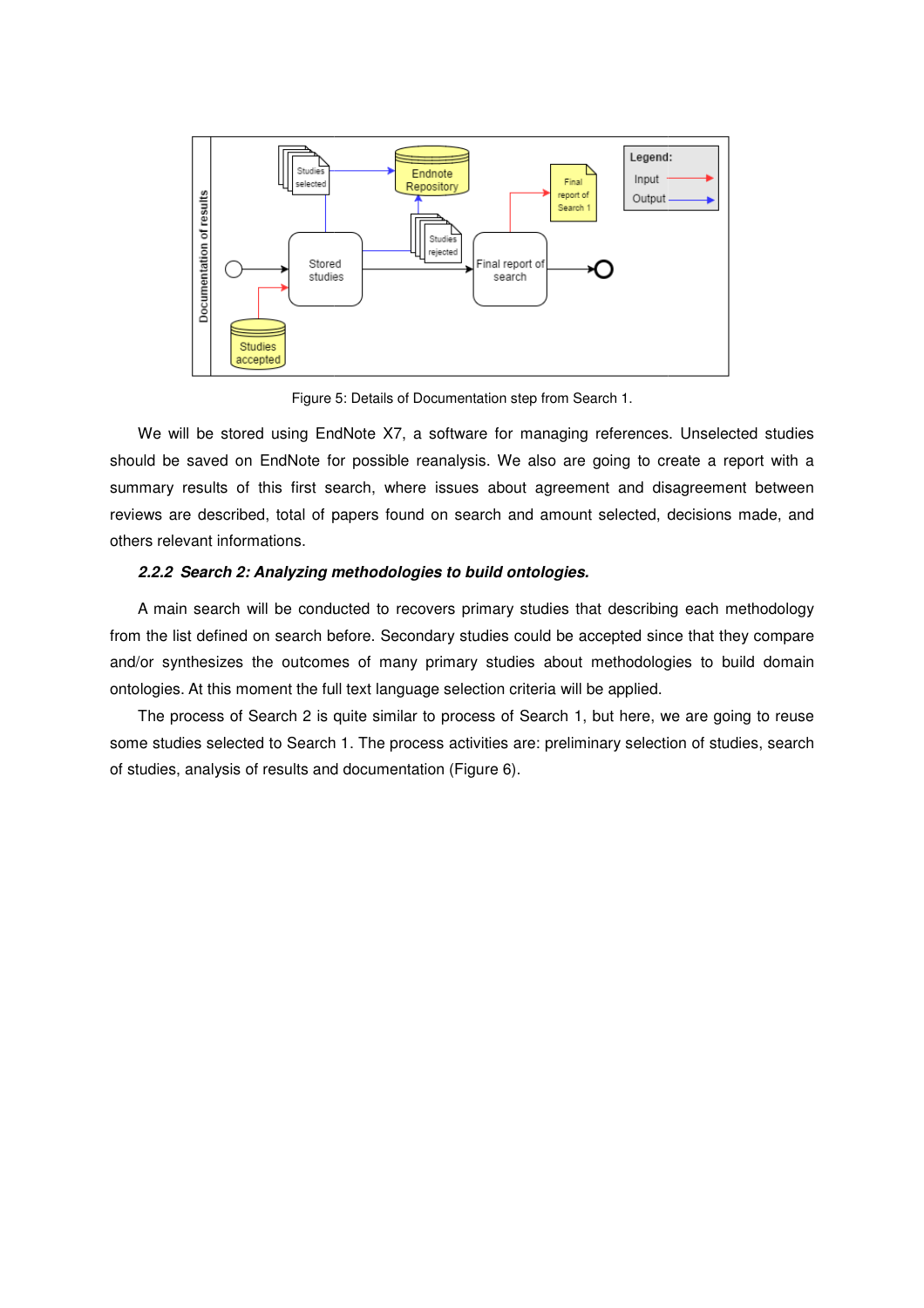

Figure 5: Details of Documentation step from Search 1.

We will be stored using EndNote X7, a software for managing references. Unselected studies should be saved on EndNote for possible reanalysis. We also are going to create a report with a summary results of this first search, where issues about agreement and disagreement between reviews are described, total of papers found on search and amount selected, decisions made, and others relevant informations.

#### **2.2.2 Search 2: Analyzing methodologies to build ontologies.**

A main search will be conducted to recovers primary studies that describing each methodology from the list defined on search before. Secondary studies could be accepted since that they compare and/or synthesizes the outcomes of many primary studies about methodologies to build domain ontologies. At this moment the full text language selection criteria will be applied.

The process of Search 2 is quite similar to process of Search 1, but here, we are going to reuse some studies selected to Search 1. The process activities are: preliminary selection of studies, search of studies, analysis of results and documentation (Figure 6). ss of Search 2 is quite similar to process of S<br>selected to Search 1. The process activities ar<br>Ilysis of results and documentation (Figure 6).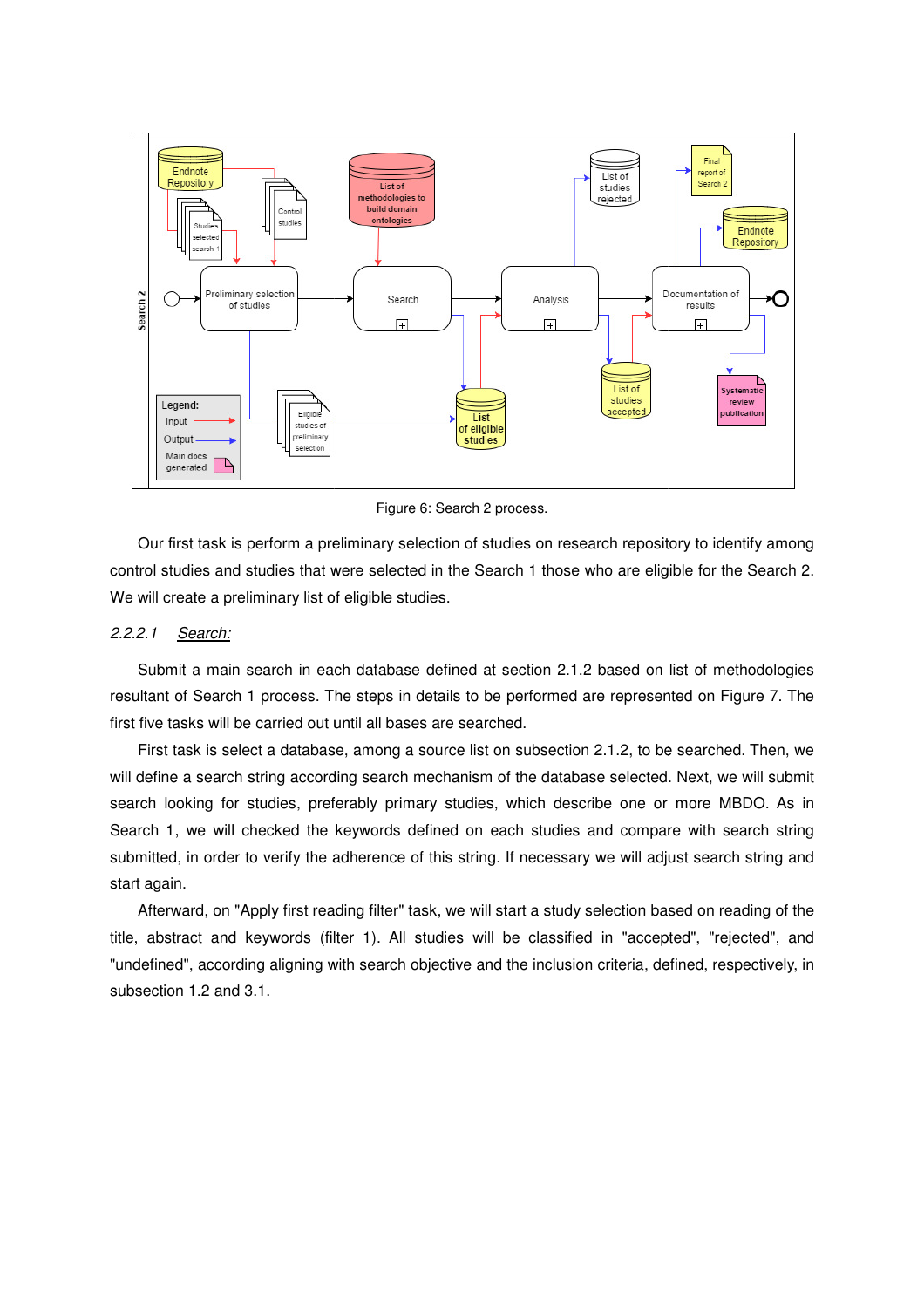

Figure 6: Search 2 process.

Our first task is perform a preliminary selection of studies on research repository to identify among control studies and studies that were selected in the Search 1 those who are eligible for the Search 2. We will create a preliminary list of eligible studies.

#### 2.2.2.1 Search:

Submit a main search in each database defined at section 2.1.2 based on list of methodologies resultant of Search 1 process. The steps in details to be performed are represented on Figure 7. The first five tasks will be carried out until all bases are searched.

First task is select a database, among a source list on subsection 2.1.2, to be searched. Then, we will define a search string according search mechanism of the database selected. Next, we will submit search looking for studies, preferably primary studies, which describe one or more MBDO. As in Search 1, we will checked the keywords defined on each studies and compare with search string submitted, in order to verify the adherence of this string. If necessary we will adjust search string and start again.

Afterward, on "Apply first reading filter" task, we will start a study selection based on reading of the title, abstract and keywords (filter 1). All studies will be classified in "accepted", "rejected", and title, abstract and keywords (filter 1). All studies will be classified in "accepted", "rejected", and<br>"undefined", according aligning with search objective and the inclusion criteria, defined, respectively, in subsection 1.2 and 3.1.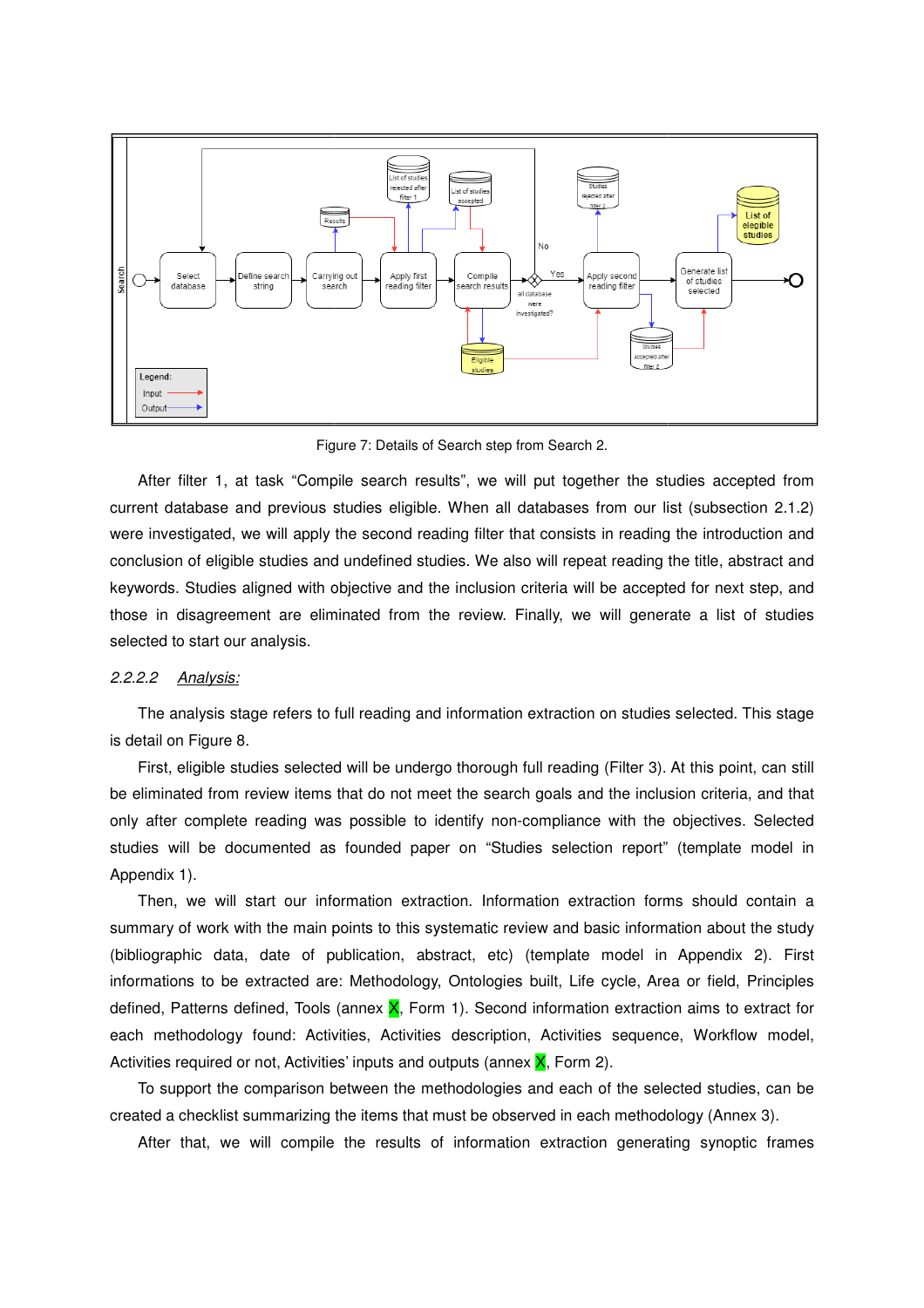

Figure Figure 7: Details of Search step from Search 2.

After filter 1, at task "Compile search results", we will put together the studies accepted from current database and previous studies eligible. When all databases from our list (subsection 2.1.2) were investigated, we will apply the second reading filter that consists in reading the introduction and conclusion of eligible studies and undefined studies. We also will repeat reading the title, abstract and keywords. Studies aligned with objective and the inclusion criteria will be accepted for next step, and those in disagreement are eliminated from the review. Finally, we will generate a list of studies selected to start our analysis. s. We also will repeat reading the title, abstract and<br>nclusion criteria will be accepted for next step, and<br>review. Finally, we will generate a list of studies<br>formation extraction on studies selected. This stage<br>thorough

#### 2.2.2.2 Analysis:

The analysis stage refers to full reading and information extraction on studies selected. This stage is detail on Figure 8.

First, eligible studies selected will be undergo thorough full reading (Filter 3). At this point, can still be eliminated from review items that do not meet the search goals and the inclusion criteria, and that only after complete reading was possible to identify non-compliance with the objectives. studies will be documented as founded paper on "Studies selection report" (template model in Appendix 1).

Then, we will start our information extraction. Information extraction forms should contain a summary of work with the main points to this systematic review and basic information about the study (bibliographic data, date of publication, abstract, etc) (template model in Appendix 2). 2). First informations to be extracted are: Methodology, Ontologies built, Life cycle, Area or field, Principles defined, Patterns defined, Tools (annex X, Form 1). Second information extraction aims to extract for each methodology found: Activities, Activities description, Activities sequence, Workflow model, Activities required or not, Activities' inputs and outputs (annex <mark>X</mark>, Form 2).

To support the comparison between the methodologies and each of the selected studies, can be created a checklist summarizing the items that must be observed in each methodology (Annex 3). on, Activities<br>nex <mark>X</mark>, Form 2).<br>es and each of<br>served in each<br>ion extraction

After that, we will compile the results of information extraction generating synoptic frames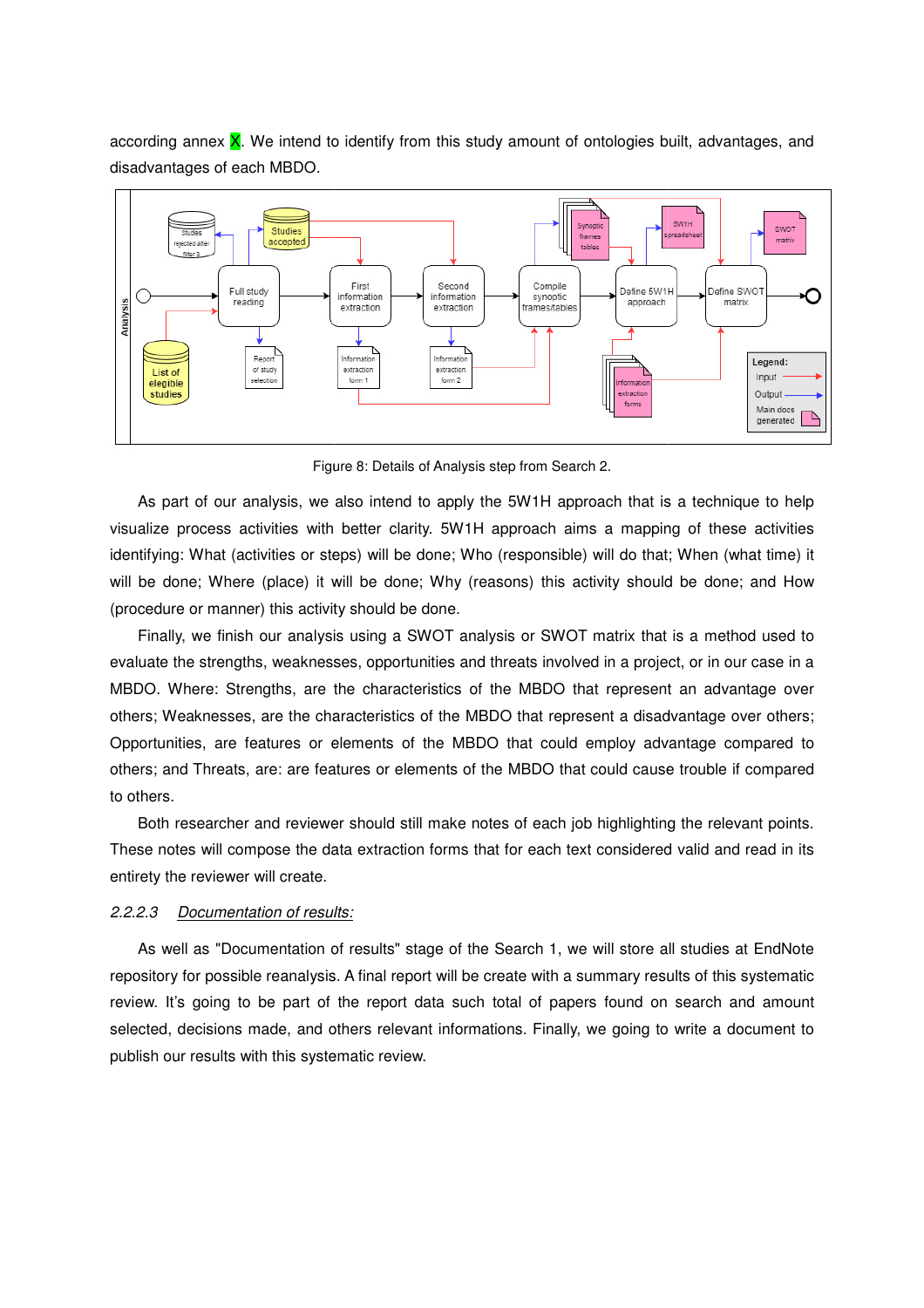according annex  $X$ . We intend to identify from this study amount of ontologies built, advantages, and disadvantages of each MBDO.



Figure 8: Details of Analysis step from Search 2.

As part of our analysis, we also intend to apply the 5W1H approach that is a technique to help visualize process activities with better clarity. 5W1H approach aims a mapping of these activities identifying: What (activities or steps) will be done; Who (responsible) will do that; When (what time) it will be done; Where (place) it will be done; Why (reasons) this activity should be done; and How (procedure or manner) this activity should be done.

Finally, we finish our analysis using a SWOT analysis or SWOT matrix that is a method used to evaluate the strengths, weaknesses, opportunities and threats involved in a project, or in our case in a MBDO. Where: Strengths, are the characteristics of the MBDO that represent an advantage over others; Weaknesses, are the characteristics of the MBDO that represent a disadvantage over others; Opportunities, are features or elements of the MBDO that could employ advantage compared to others; and Threats, are: are features or elements of the MBDO that could cause trouble if compared to others. ity should be done.<br>
sis using a SWOT analysis or SWOT matrix that is a method used to<br>
ses, opportunities and threats involved in a project, or in our case in a<br>
the characteristics of the MBDO that represent an advantage cteristics<br>cs of the<br>of the M<br>lements (<br>still make<br>tion forms<br>stage of<br>pport will t

Both researcher and reviewer should still make notes of each job highlighting the relevant points. These notes will compose the data extraction forms that for each text considered valid and read in its entirety the reviewer will create.

#### 2.2.2.3 Documentation of results:

As well as "Documentation of results" stage of the Search 1, we will store all studies at EndNote repository for possible reanalysis. A final report will be create with a summary results of this systematic review. It's going to be part of the report data such total of papers found on search and amount selected, decisions made, and others relevant informations. Finally, we going to write a document to publish our results with this systematic review.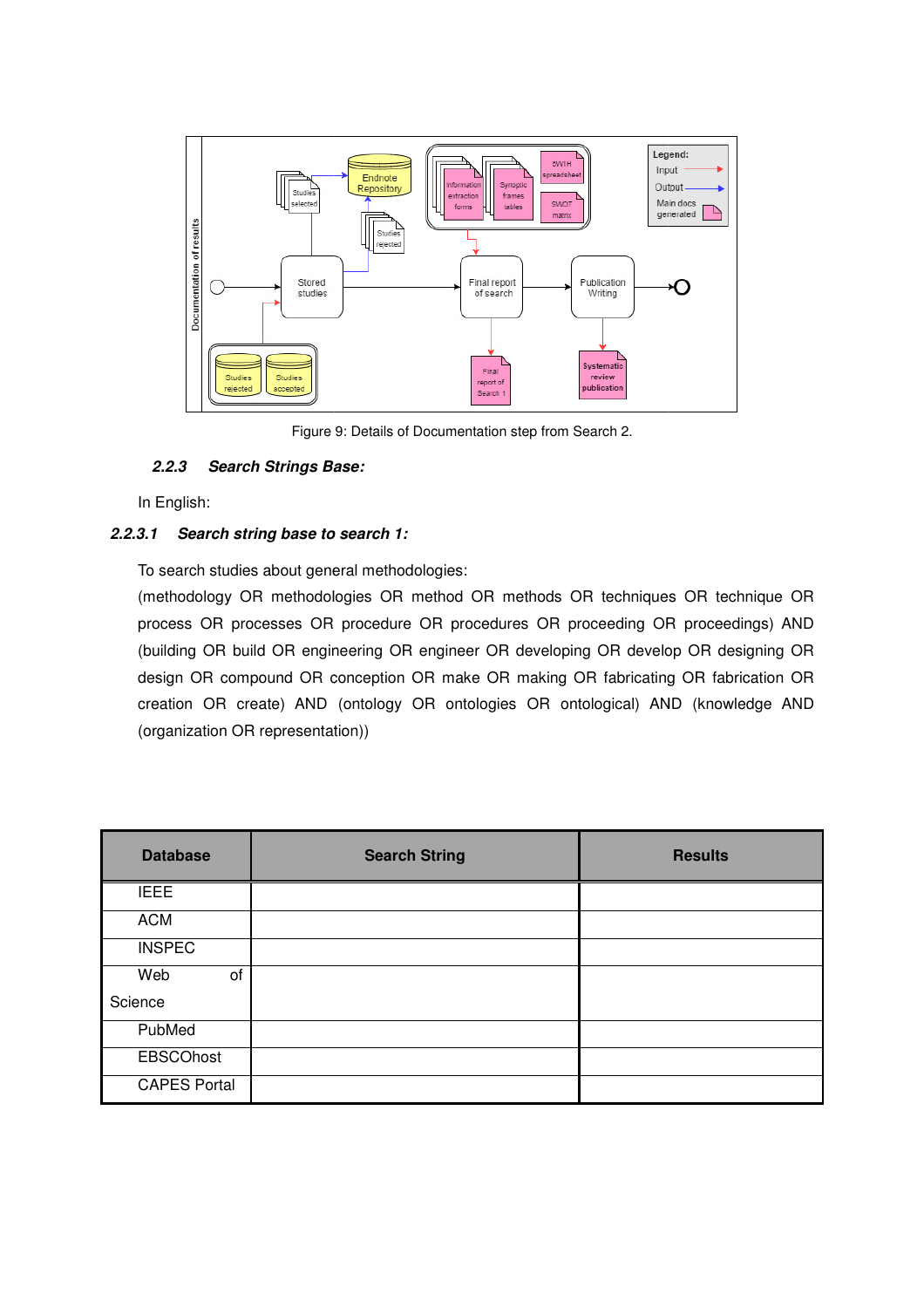

Figure 9: Details of Documentation step from Search 2.

## **2.2.3 Search Strings Base Base:**

In English:

#### **2.2.3.1 Search string base to search 1:**

To search studies about general methodologies:

(methodology OR methodologies OR method OR methods OR techniques OR technique OR process OR processes OR procedure OR procedures OR proceeding OR proceedings) AND (building OR build OR engineering OR engineer OR developing OR develop OR designing OR design OR compound OR conception OR make OR making OR fabricating OR fabrication OR creation OR create) AND (ontology OR ontologies OR ontological) AND (knowledge AND (organization OR representation))

| <b>Database</b>     | <b>Search String</b> | <b>Results</b> |
|---------------------|----------------------|----------------|
| <b>IEEE</b>         |                      |                |
| <b>ACM</b>          |                      |                |
| <b>INSPEC</b>       |                      |                |
| Web<br>of           |                      |                |
| Science             |                      |                |
| PubMed              |                      |                |
| <b>EBSCOhost</b>    |                      |                |
| <b>CAPES Portal</b> |                      |                |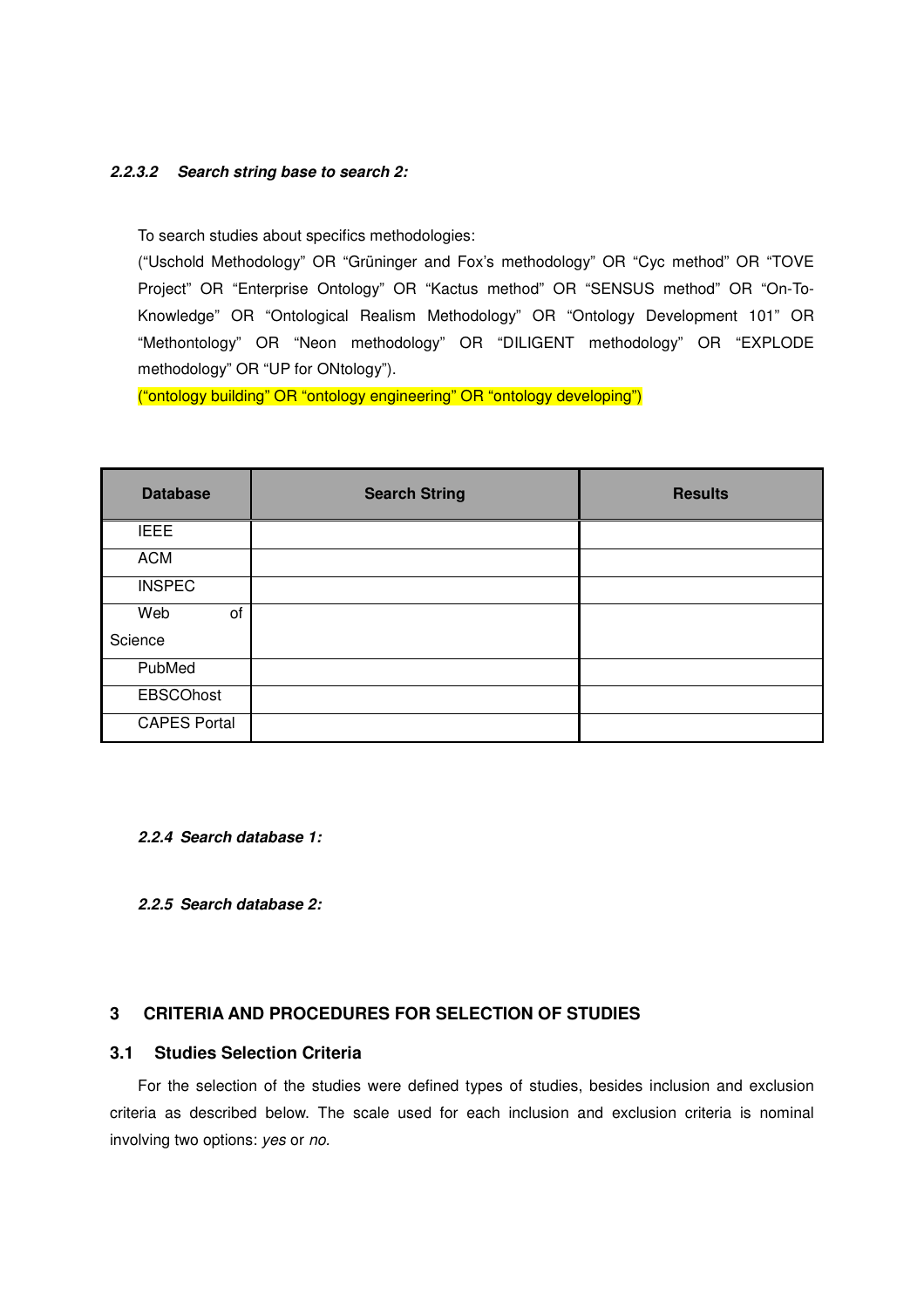#### **2.2.3.2 Search string base to search 2:**

To search studies about specifics methodologies:

("Uschold Methodology" OR "Grüninger and Fox's methodology" OR "Cyc method" OR "TOVE Project" OR "Enterprise Ontology" OR "Kactus method" OR "SENSUS method" OR "On-To-Knowledge" OR "Ontological Realism Methodology" OR "Ontology Development 101" OR "Methontology" OR "Neon methodology" OR "DILIGENT methodology" OR "EXPLODE methodology" OR "UP for ONtology").

("ontology building" OR "ontology engineering" OR "ontology developing")

| <b>Database</b>     | <b>Search String</b> | <b>Results</b> |
|---------------------|----------------------|----------------|
| <b>IEEE</b>         |                      |                |
| <b>ACM</b>          |                      |                |
| <b>INSPEC</b>       |                      |                |
| Web<br>of           |                      |                |
| Science             |                      |                |
| PubMed              |                      |                |
| <b>EBSCOhost</b>    |                      |                |
| <b>CAPES Portal</b> |                      |                |

**2.2.4 Search database 1:** 

**2.2.5 Search database 2:** 

## **3 CRITERIA AND PROCEDURES FOR SELECTION OF STUDIES**

## **3.1 Studies Selection Criteria**

For the selection of the studies were defined types of studies, besides inclusion and exclusion criteria as described below. The scale used for each inclusion and exclusion criteria is nominal involving two options: yes or no.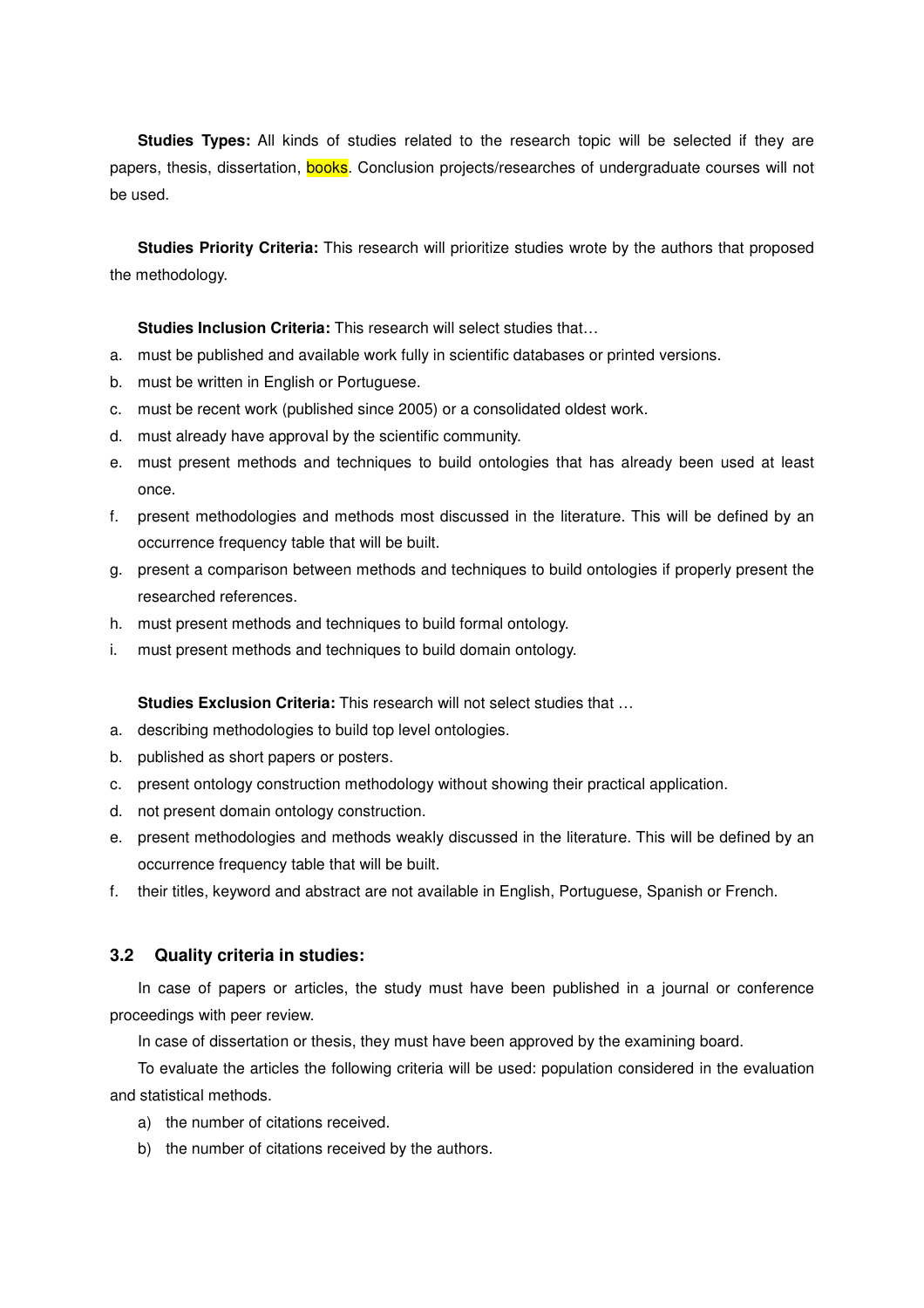**Studies Types:** All kinds of studies related to the research topic will be selected if they are papers, thesis, dissertation, **books**. Conclusion projects/researches of undergraduate courses will not be used.

**Studies Priority Criteria:** This research will prioritize studies wrote by the authors that proposed the methodology.

**Studies Inclusion Criteria:** This research will select studies that…

- a. must be published and available work fully in scientific databases or printed versions.
- b. must be written in English or Portuguese.
- c. must be recent work (published since 2005) or a consolidated oldest work.
- d. must already have approval by the scientific community.
- e. must present methods and techniques to build ontologies that has already been used at least once.
- f. present methodologies and methods most discussed in the literature. This will be defined by an occurrence frequency table that will be built.
- g. present a comparison between methods and techniques to build ontologies if properly present the researched references.
- h. must present methods and techniques to build formal ontology.
- i. must present methods and techniques to build domain ontology.

**Studies Exclusion Criteria:** This research will not select studies that …

- a. describing methodologies to build top level ontologies.
- b. published as short papers or posters.
- c. present ontology construction methodology without showing their practical application.
- d. not present domain ontology construction.
- e. present methodologies and methods weakly discussed in the literature. This will be defined by an occurrence frequency table that will be built.
- f. their titles, keyword and abstract are not available in English, Portuguese, Spanish or French.

#### **3.2 Quality criteria in studies:**

In case of papers or articles, the study must have been published in a journal or conference proceedings with peer review.

In case of dissertation or thesis, they must have been approved by the examining board.

To evaluate the articles the following criteria will be used: population considered in the evaluation and statistical methods.

- a) the number of citations received.
- b) the number of citations received by the authors.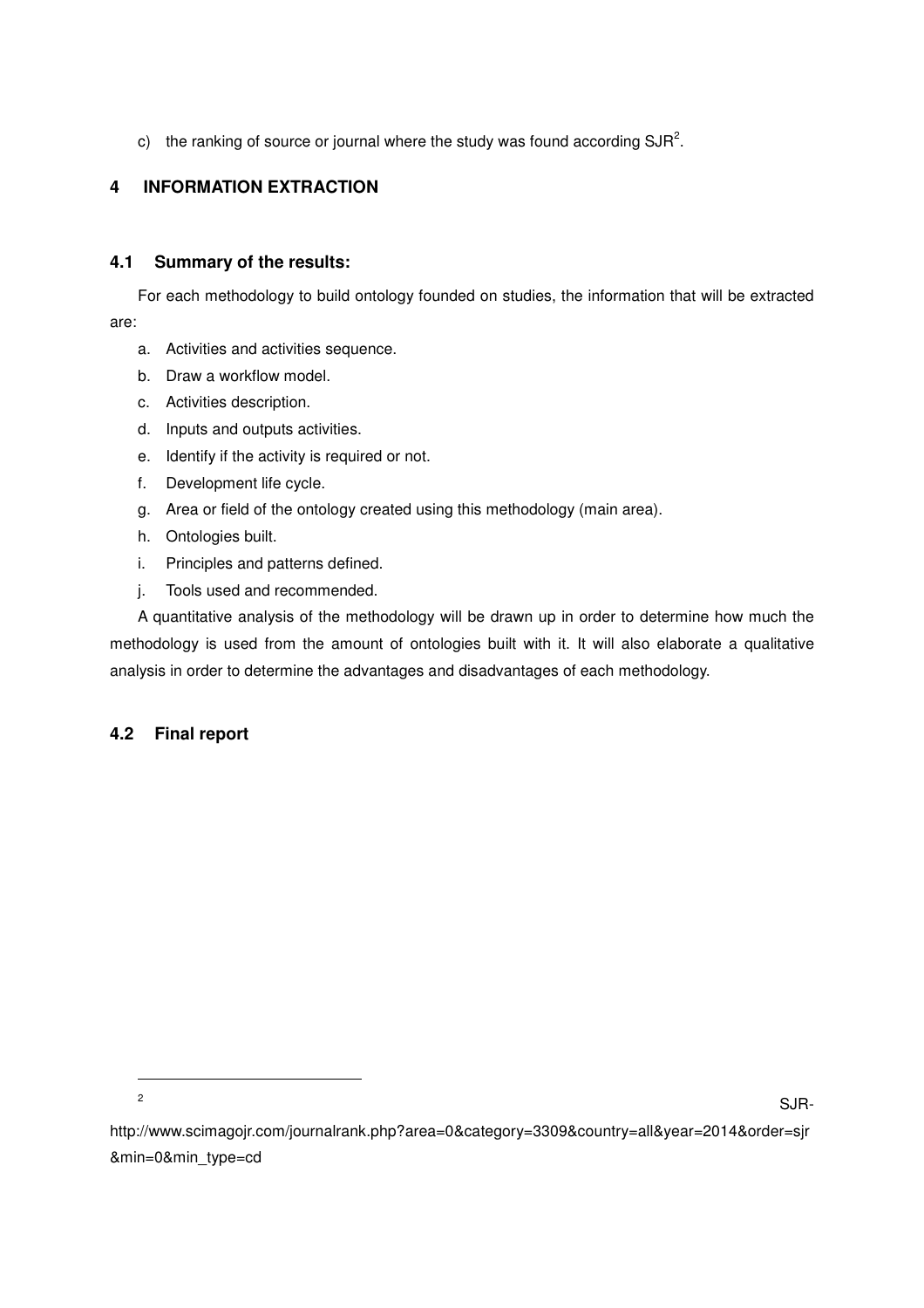c) the ranking of source or journal where the study was found according  $S\overline{JR}^2$ .

# **4 INFORMATION EXTRACTION**

## **4.1 Summary of the results:**

For each methodology to build ontology founded on studies, the information that will be extracted are:

- a. Activities and activities sequence.
- b. Draw a workflow model.
- c. Activities description.
- d. Inputs and outputs activities.
- e. Identify if the activity is required or not.
- f. Development life cycle.
- g. Area or field of the ontology created using this methodology (main area).
- h. Ontologies built.
- i. Principles and patterns defined.
- j. Tools used and recommended.

A quantitative analysis of the methodology will be drawn up in order to determine how much the methodology is used from the amount of ontologies built with it. It will also elaborate a qualitative analysis in order to determine the advantages and disadvantages of each methodology.

# **4.2 Final report**

SJR-

http://www.scimagojr.com/journalrank.php?area=0&category=3309&country=all&year=2014&order=sjr &min=0&min\_type=cd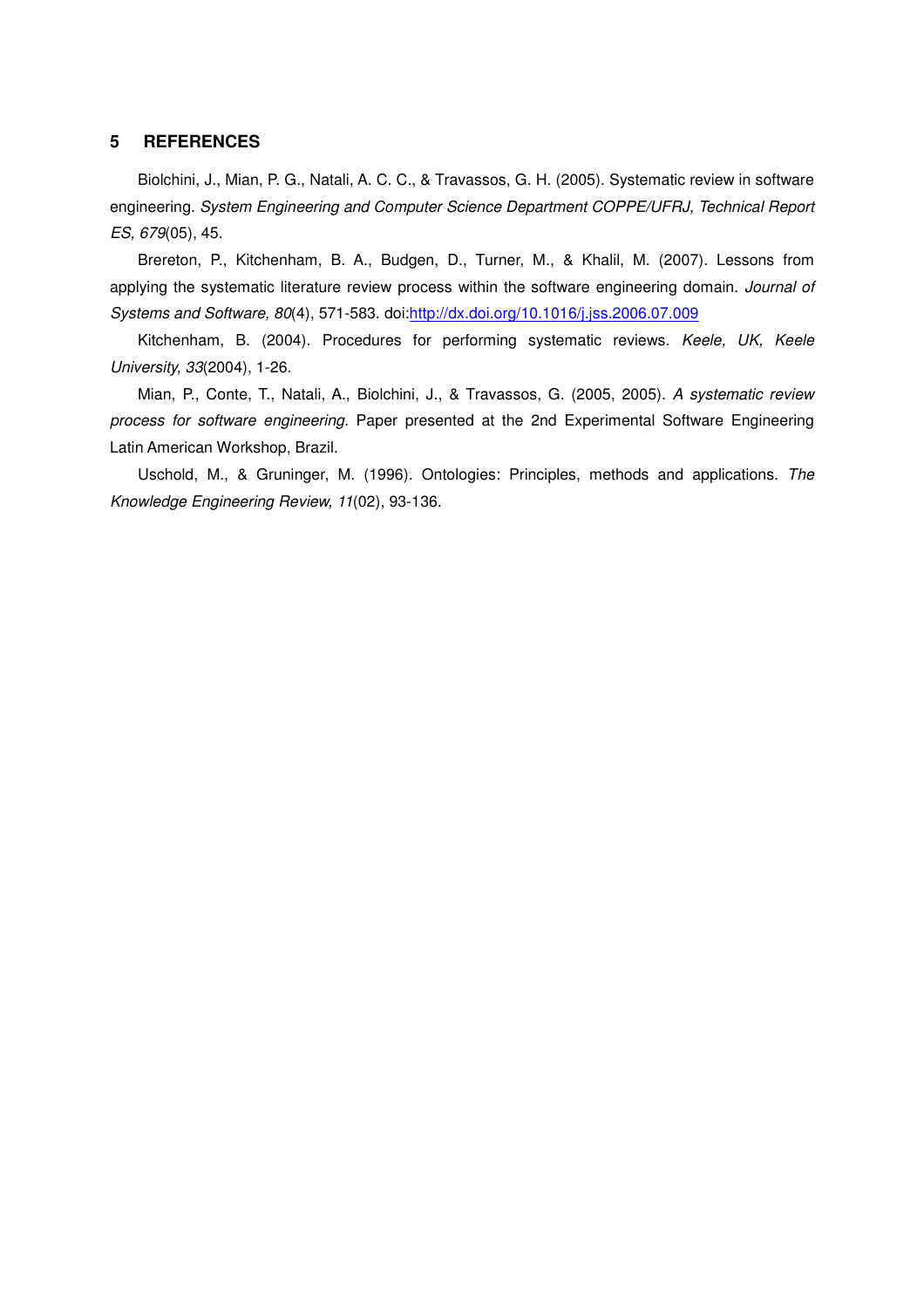#### **5 REFERENCES**

Biolchini, J., Mian, P. G., Natali, A. C. C., & Travassos, G. H. (2005). Systematic review in software engineering. System Engineering and Computer Science Department COPPE/UFRJ, Technical Report ES, 679(05), 45.

Brereton, P., Kitchenham, B. A., Budgen, D., Turner, M., & Khalil, M. (2007). Lessons from applying the systematic literature review process within the software engineering domain. Journal of Systems and Software, 80(4), 571-583. doi:http://dx.doi.org/10.1016/j.jss.2006.07.009

Kitchenham, B. (2004). Procedures for performing systematic reviews. Keele, UK, Keele University, 33(2004), 1-26.

Mian, P., Conte, T., Natali, A., Biolchini, J., & Travassos, G. (2005, 2005). A systematic review process for software engineering. Paper presented at the 2nd Experimental Software Engineering Latin American Workshop, Brazil.

Uschold, M., & Gruninger, M. (1996). Ontologies: Principles, methods and applications. The Knowledge Engineering Review, 11(02), 93-136.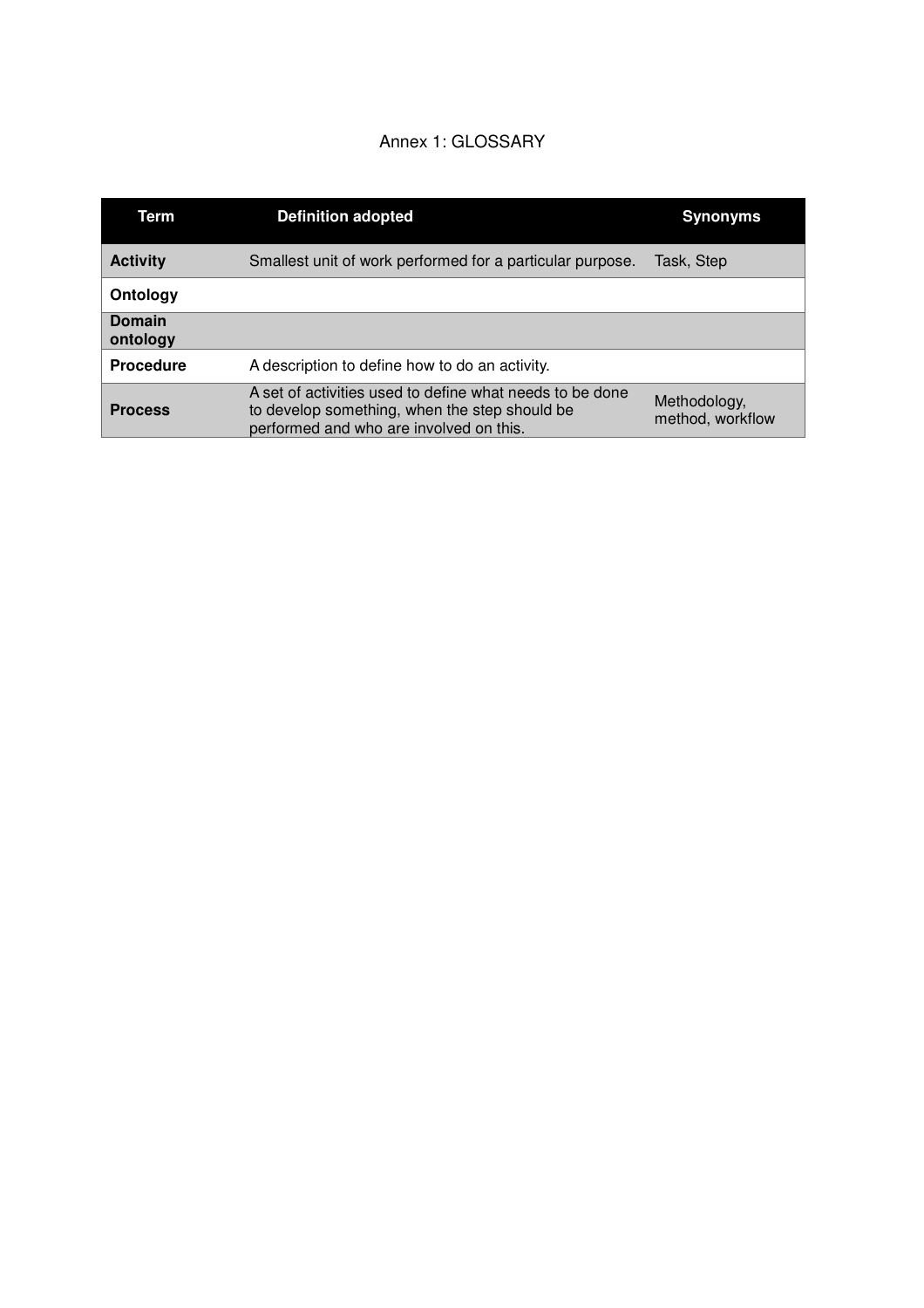# Annex 1: GLOSSARY

| <b>Term</b>        | <b>Definition adopted</b>                                                                                                                            | <b>Synonyms</b>                  |
|--------------------|------------------------------------------------------------------------------------------------------------------------------------------------------|----------------------------------|
| <b>Activity</b>    | Smallest unit of work performed for a particular purpose.                                                                                            | Task, Step                       |
| Ontology           |                                                                                                                                                      |                                  |
| Domain<br>ontology |                                                                                                                                                      |                                  |
| <b>Procedure</b>   | A description to define how to do an activity.                                                                                                       |                                  |
| <b>Process</b>     | A set of activities used to define what needs to be done<br>to develop something, when the step should be<br>performed and who are involved on this. | Methodology,<br>method, workflow |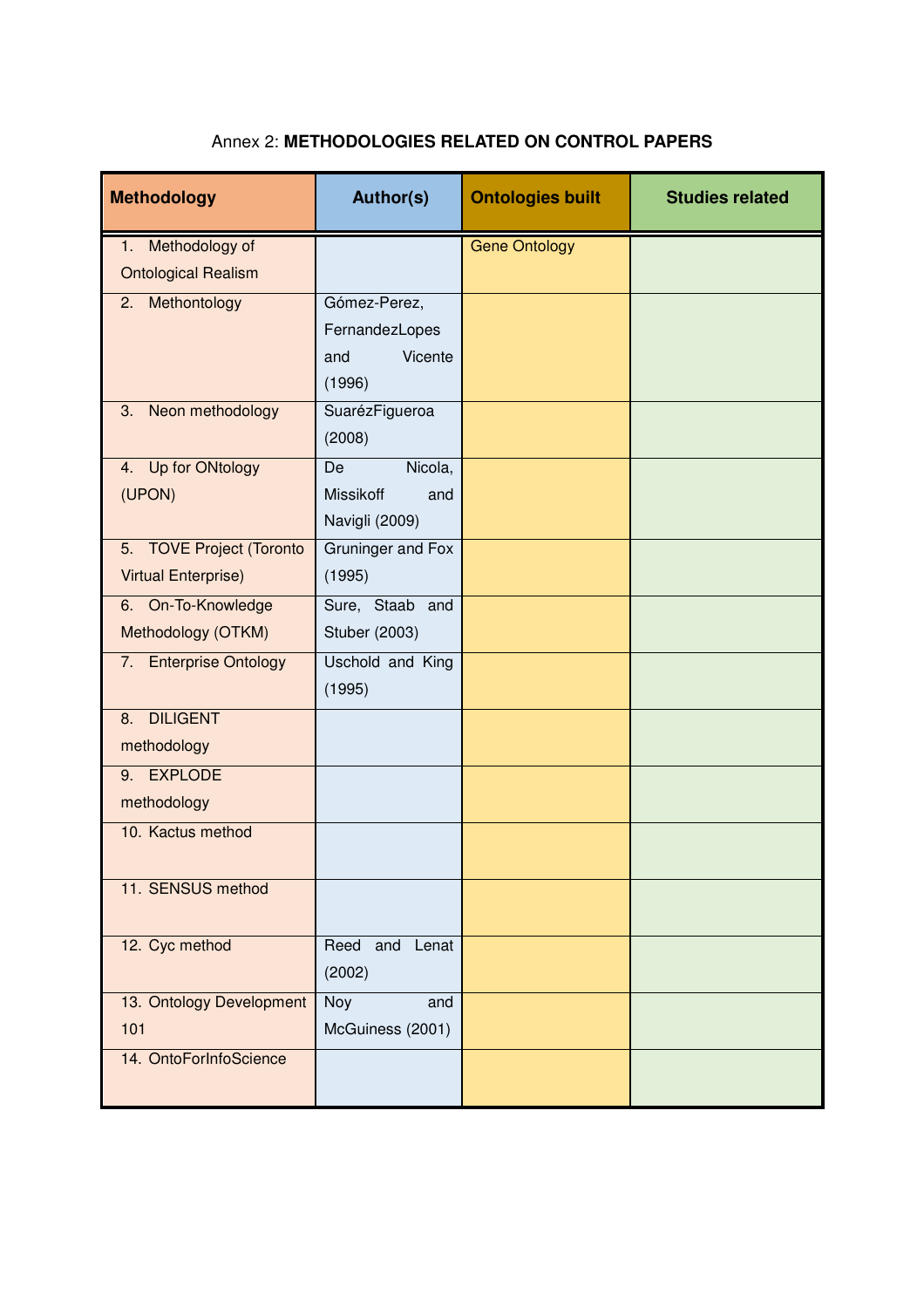# Annex 2: **METHODOLOGIES RELATED ON CONTROL PAPERS**

| <b>Methodology</b>                                     | Author(s)                                                  | <b>Ontologies built</b> | <b>Studies related</b> |
|--------------------------------------------------------|------------------------------------------------------------|-------------------------|------------------------|
| Methodology of<br>1.<br><b>Ontological Realism</b>     |                                                            | <b>Gene Ontology</b>    |                        |
| Methontology<br>2.                                     | Gómez-Perez,<br>FernandezLopes<br>Vicente<br>and<br>(1996) |                         |                        |
| Neon methodology<br>3.                                 | SuarézFigueroa<br>(2008)                                   |                         |                        |
| Up for ONtology<br>4.<br>(UPON)                        | Nicola,<br>De<br>Missikoff<br>and<br>Navigli (2009)        |                         |                        |
| 5. TOVE Project (Toronto<br><b>Virtual Enterprise)</b> | Gruninger and Fox<br>(1995)                                |                         |                        |
| 6. On-To-Knowledge<br>Methodology (OTKM)               | Sure, Staab and<br>Stuber (2003)                           |                         |                        |
| <b>Enterprise Ontology</b><br>7.                       | Uschold and King<br>(1995)                                 |                         |                        |
| <b>DILIGENT</b><br>8.<br>methodology                   |                                                            |                         |                        |
| 9. EXPLODE<br>methodology                              |                                                            |                         |                        |
| 10. Kactus method                                      |                                                            |                         |                        |
| 11. SENSUS method                                      |                                                            |                         |                        |
| 12. Cyc method                                         | Reed and Lenat<br>(2002)                                   |                         |                        |
| 13. Ontology Development<br>101                        | Noy<br>and<br>McGuiness (2001)                             |                         |                        |
| 14. OntoForInfoScience                                 |                                                            |                         |                        |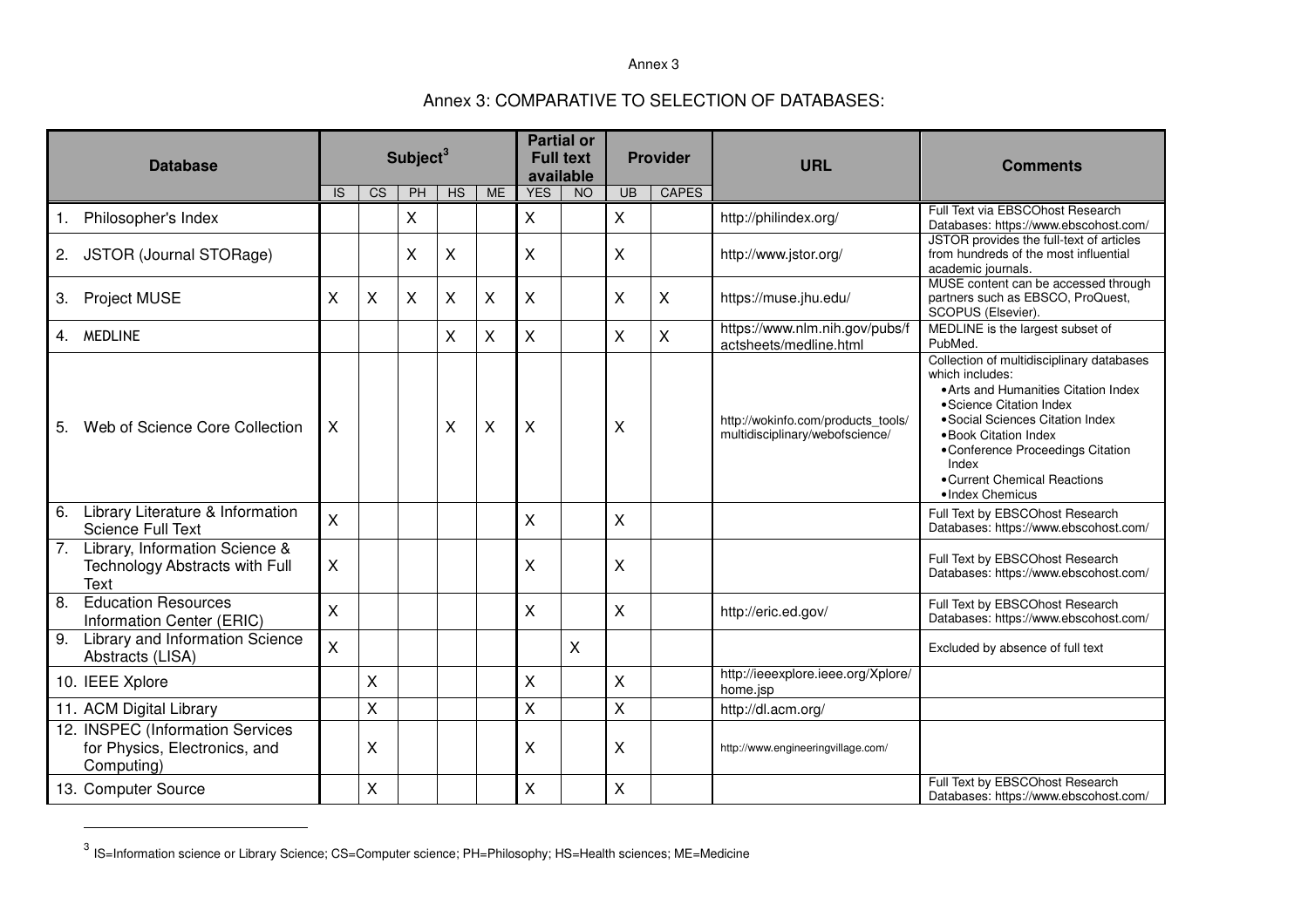# Annex 3: COMPARATIVE TO SELECTION OF DATABASES:

| <b>Database</b>                                                                    | <b>Partial or</b><br>Subject <sup>3</sup><br><b>Full text</b><br><b>Provider</b><br>available |           |    | <b>URL</b>                | <b>Comments</b> |            |                |    |              |                                                                       |                                                                                                                                                                                                                                                                                                |
|------------------------------------------------------------------------------------|-----------------------------------------------------------------------------------------------|-----------|----|---------------------------|-----------------|------------|----------------|----|--------------|-----------------------------------------------------------------------|------------------------------------------------------------------------------------------------------------------------------------------------------------------------------------------------------------------------------------------------------------------------------------------------|
|                                                                                    | IS.                                                                                           | <b>CS</b> | PH | HS                        | <b>ME</b>       | <b>YES</b> | N <sub>O</sub> | UB | <b>CAPES</b> |                                                                       |                                                                                                                                                                                                                                                                                                |
| Philosopher's Index<br>1.                                                          |                                                                                               |           | Χ  |                           |                 | Χ          |                | Χ  |              | http://philindex.org/                                                 | Full Text via EBSCOhost Research<br>Databases: https://www.ebscohost.com/                                                                                                                                                                                                                      |
| JSTOR (Journal STORage)<br>2.                                                      |                                                                                               |           | X  | X                         |                 | Χ          |                | Χ  |              | http://www.jstor.org/                                                 | JSTOR provides the full-text of articles<br>from hundreds of the most influential<br>academic journals.                                                                                                                                                                                        |
| Project MUSE<br>3.                                                                 | X                                                                                             | X         | X  | X                         | X               | X          |                | Χ  | $\sf X$      | https://muse.jhu.edu/                                                 | MUSE content can be accessed through<br>partners such as EBSCO, ProQuest,<br>SCOPUS (Elsevier).                                                                                                                                                                                                |
| 4. MEDLINE                                                                         |                                                                                               |           |    | $\boldsymbol{\mathsf{X}}$ | X               | X          |                | X  | $\mathsf{X}$ | https://www.nlm.nih.gov/pubs/f<br>actsheets/medline.html              | MEDLINE is the largest subset of<br>PubMed.                                                                                                                                                                                                                                                    |
| Web of Science Core Collection<br>5.                                               | $\times$                                                                                      |           |    | X                         | X               | X          |                | Χ  |              | http://wokinfo.com/products_tools/<br>multidisciplinary/webofscience/ | Collection of multidisciplinary databases<br>which includes:<br>• Arts and Humanities Citation Index<br>• Science Citation Index<br>• Social Sciences Citation Index<br>· Book Citation Index<br>•Conference Proceedings Citation<br>Index<br>• Current Chemical Reactions<br>· Index Chemicus |
| Library Literature & Information<br>6.<br><b>Science Full Text</b>                 | $\mathsf{X}$                                                                                  |           |    |                           |                 | Χ          |                | Χ  |              |                                                                       | Full Text by EBSCOhost Research<br>Databases: https://www.ebscohost.com/                                                                                                                                                                                                                       |
| 7. Library, Information Science &<br>Technology Abstracts with Full<br><b>Text</b> | X                                                                                             |           |    |                           |                 | Χ          |                | Χ  |              |                                                                       | Full Text by EBSCOhost Research<br>Databases: https://www.ebscohost.com/                                                                                                                                                                                                                       |
| <b>Education Resources</b><br>$\overline{8}$ .<br>Information Center (ERIC)        | X                                                                                             |           |    |                           |                 | X          |                | X  |              | http://eric.ed.gov/                                                   | Full Text by EBSCOhost Research<br>Databases: https://www.ebscohost.com/                                                                                                                                                                                                                       |
| Library and Information Science<br>9.<br>Abstracts (LISA)                          | X                                                                                             |           |    |                           |                 |            | X              |    |              |                                                                       | Excluded by absence of full text                                                                                                                                                                                                                                                               |
| 10. IEEE Xplore                                                                    |                                                                                               | X         |    |                           |                 | X          |                | X  |              | http://ieeexplore.ieee.org/Xplore/<br>home.jsp                        |                                                                                                                                                                                                                                                                                                |
| 11. ACM Digital Library                                                            |                                                                                               | X         |    |                           |                 | X          |                | X  |              | http://dl.acm.org/                                                    |                                                                                                                                                                                                                                                                                                |
| 12. INSPEC (Information Services<br>for Physics, Electronics, and<br>Computing)    |                                                                                               | X.        |    |                           |                 | Χ          |                | Χ  |              | http://www.engineeringvillage.com/                                    |                                                                                                                                                                                                                                                                                                |
| 13. Computer Source                                                                |                                                                                               | X         |    |                           |                 | Χ          |                | X  |              |                                                                       | Full Text by EBSCOhost Research<br>Databases: https://www.ebscohost.com/                                                                                                                                                                                                                       |

 $^3$  IS=Information science or Library Science; CS=Computer science; PH=Philosophy; HS=Health sciences; ME=Medicine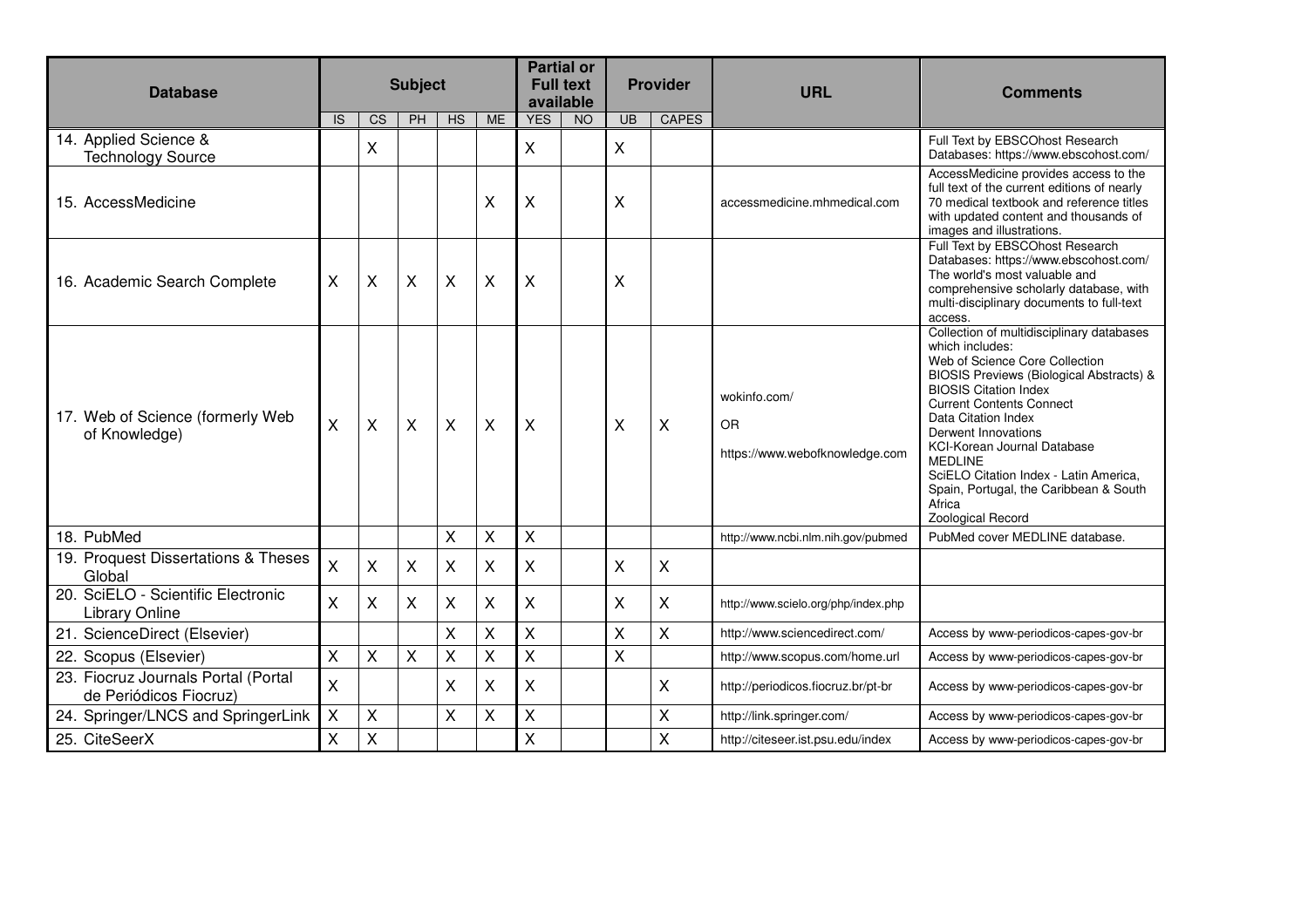| <b>Database</b>                                               |              |                                                                                                                        | <b>Subject</b> |                                                                                                                                                                                                                                                                                                                                                                                                                                               |           | available          | <b>Partial or</b><br><b>Full text</b> | <b>Provider</b>           |              |                                     |                                                                                                                                                                                                             | <b>URL</b> | <b>Comments</b> |
|---------------------------------------------------------------|--------------|------------------------------------------------------------------------------------------------------------------------|----------------|-----------------------------------------------------------------------------------------------------------------------------------------------------------------------------------------------------------------------------------------------------------------------------------------------------------------------------------------------------------------------------------------------------------------------------------------------|-----------|--------------------|---------------------------------------|---------------------------|--------------|-------------------------------------|-------------------------------------------------------------------------------------------------------------------------------------------------------------------------------------------------------------|------------|-----------------|
| 14. Applied Science &<br><b>Technology Source</b>             | <b>IS</b>    | <b>CS</b><br>Χ                                                                                                         | PH             | <b>HS</b>                                                                                                                                                                                                                                                                                                                                                                                                                                     | <b>ME</b> | <b>YES</b><br>X    | NO                                    | <b>UB</b><br>X            | <b>CAPES</b> |                                     | Full Text by EBSCOhost Research<br>Databases: https://www.ebscohost.com/                                                                                                                                    |            |                 |
| 15. AccessMedicine                                            |              |                                                                                                                        |                |                                                                                                                                                                                                                                                                                                                                                                                                                                               | Χ         | X                  |                                       | X                         |              | accessmedicine.mhmedical.com        | AccessMedicine provides access to the<br>full text of the current editions of nearly<br>70 medical textbook and reference titles<br>with updated content and thousands of<br>images and illustrations.      |            |                 |
| 16. Academic Search Complete                                  | X            | X                                                                                                                      | X              | X                                                                                                                                                                                                                                                                                                                                                                                                                                             | X         | X                  |                                       | Χ                         |              |                                     | Full Text by EBSCOhost Research<br>Databases: https://www.ebscohost.com/<br>The world's most valuable and<br>comprehensive scholarly database, with<br>multi-disciplinary documents to full-text<br>access. |            |                 |
| 17. Web of Science (formerly Web<br>of Knowledge)             | X            | wokinfo.com/<br>$\boldsymbol{\mathsf{X}}$<br>X<br>X<br>X<br>X<br>X<br>X<br><b>OR</b><br>https://www.webofknowledge.com |                | Collection of multidisciplinary databases<br>which includes:<br>Web of Science Core Collection<br>BIOSIS Previews (Biological Abstracts) &<br><b>BIOSIS Citation Index</b><br><b>Current Contents Connect</b><br>Data Citation Index<br>Derwent Innovations<br><b>KCI-Korean Journal Database</b><br><b>MEDLINE</b><br>SciELO Citation Index - Latin America,<br>Spain, Portugal, the Caribbean & South<br>Africa<br><b>Zoological Record</b> |           |                    |                                       |                           |              |                                     |                                                                                                                                                                                                             |            |                 |
| 18. PubMed                                                    |              |                                                                                                                        |                | X                                                                                                                                                                                                                                                                                                                                                                                                                                             | Χ         | $\mathsf X$        |                                       |                           |              | http://www.ncbi.nlm.nih.gov/pubmed  | PubMed cover MEDLINE database.                                                                                                                                                                              |            |                 |
| 19. Proquest Dissertations & Theses<br>Global                 | $\mathsf{X}$ | X                                                                                                                      | X              | X                                                                                                                                                                                                                                                                                                                                                                                                                                             | Χ         | X                  |                                       | $\boldsymbol{\mathsf{X}}$ | X            |                                     |                                                                                                                                                                                                             |            |                 |
| 20. SciELO - Scientific Electronic<br>Library Online          | X            | X                                                                                                                      | X              | X                                                                                                                                                                                                                                                                                                                                                                                                                                             | Χ         | X                  |                                       | X                         | X            | http://www.scielo.org/php/index.php |                                                                                                                                                                                                             |            |                 |
| 21. ScienceDirect (Elsevier)                                  |              |                                                                                                                        |                | $\pmb{\mathsf{X}}$                                                                                                                                                                                                                                                                                                                                                                                                                            | X         | $\sf X$            |                                       | $\mathsf{X}$              | $\mathsf{X}$ | http://www.sciencedirect.com/       | Access by www-periodicos-capes-gov-br                                                                                                                                                                       |            |                 |
| 22. Scopus (Elsevier)                                         | X            | X                                                                                                                      | Χ              | X                                                                                                                                                                                                                                                                                                                                                                                                                                             | X         | X                  |                                       | X                         |              | http://www.scopus.com/home.url      | Access by www-periodicos-capes-gov-br                                                                                                                                                                       |            |                 |
| 23. Fiocruz Journals Portal (Portal<br>de Periódicos Fiocruz) | $\mathsf{X}$ |                                                                                                                        |                | X                                                                                                                                                                                                                                                                                                                                                                                                                                             | Χ         | X                  |                                       |                           | X            | http://periodicos.fiocruz.br/pt-br  | Access by www-periodicos-capes-gov-br                                                                                                                                                                       |            |                 |
| 24. Springer/LNCS and SpringerLink                            | $\mathsf X$  | Χ                                                                                                                      |                | X                                                                                                                                                                                                                                                                                                                                                                                                                                             | Χ         | $\mathsf X$        |                                       |                           | $\mathsf X$  | http://link.springer.com/           | Access by www-periodicos-capes-gov-br                                                                                                                                                                       |            |                 |
| 25. CiteSeerX                                                 | X            | Χ                                                                                                                      |                |                                                                                                                                                                                                                                                                                                                                                                                                                                               |           | $\pmb{\mathsf{X}}$ |                                       |                           | $\mathsf X$  | http://citeseer.ist.psu.edu/index   | Access by www-periodicos-capes-gov-br                                                                                                                                                                       |            |                 |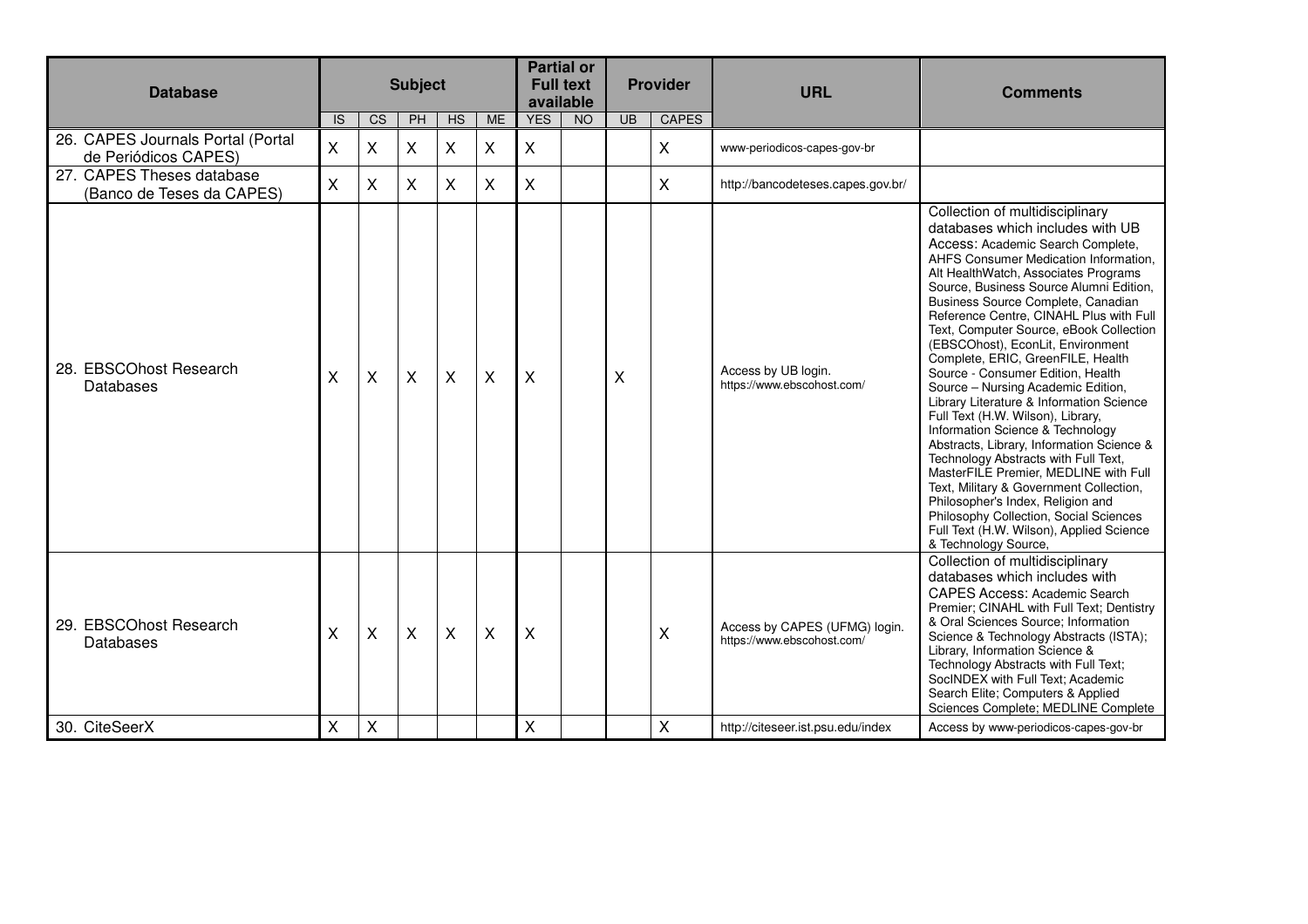| <b>Database</b>                                           |           |                           | <b>Subject</b> |                |           |            | <b>Partial or</b><br><b>Full text</b><br>available | <b>Provider</b> |              |                                                             |                                                                                                                                                                                                                                                                                                                                                                                                                                                                                                                                                                                                                                                                                                                                                                                                                                                                                                                                                                        | <b>URL</b> | <b>Comments</b> |
|-----------------------------------------------------------|-----------|---------------------------|----------------|----------------|-----------|------------|----------------------------------------------------|-----------------|--------------|-------------------------------------------------------------|------------------------------------------------------------------------------------------------------------------------------------------------------------------------------------------------------------------------------------------------------------------------------------------------------------------------------------------------------------------------------------------------------------------------------------------------------------------------------------------------------------------------------------------------------------------------------------------------------------------------------------------------------------------------------------------------------------------------------------------------------------------------------------------------------------------------------------------------------------------------------------------------------------------------------------------------------------------------|------------|-----------------|
|                                                           | <b>IS</b> | <b>CS</b>                 | PH             | H <sub>S</sub> | <b>ME</b> | <b>YES</b> | NO <sub>1</sub>                                    | <b>UB</b>       | <b>CAPES</b> |                                                             |                                                                                                                                                                                                                                                                                                                                                                                                                                                                                                                                                                                                                                                                                                                                                                                                                                                                                                                                                                        |            |                 |
| 26. CAPES Journals Portal (Portal<br>de Periódicos CAPES) | X         | Χ                         | X              | X              | X         | X          |                                                    |                 | Χ            | www-periodicos-capes-gov-br                                 |                                                                                                                                                                                                                                                                                                                                                                                                                                                                                                                                                                                                                                                                                                                                                                                                                                                                                                                                                                        |            |                 |
| 27. CAPES Theses database<br>(Banco de Teses da CAPES)    | X         | X                         | Χ              | X              | X         | X          |                                                    |                 | X            | http://bancodeteses.capes.gov.br/                           |                                                                                                                                                                                                                                                                                                                                                                                                                                                                                                                                                                                                                                                                                                                                                                                                                                                                                                                                                                        |            |                 |
| 28. EBSCOhost Research<br>Databases                       | X         | $\boldsymbol{\mathsf{X}}$ | $\times$       | $\mathsf{X}$   | X         | $\times$   |                                                    | X               |              | Access by UB login.<br>https://www.ebscohost.com/           | Collection of multidisciplinary<br>databases which includes with UB<br>Access: Academic Search Complete,<br>AHFS Consumer Medication Information,<br>Alt HealthWatch, Associates Programs<br>Source, Business Source Alumni Edition,<br>Business Source Complete, Canadian<br>Reference Centre, CINAHL Plus with Full<br>Text, Computer Source, eBook Collection<br>(EBSCOhost), EconLit, Environment<br>Complete, ERIC, GreenFILE, Health<br>Source - Consumer Edition, Health<br>Source - Nursing Academic Edition,<br>Library Literature & Information Science<br>Full Text (H.W. Wilson), Library,<br>Information Science & Technology<br>Abstracts, Library, Information Science &<br>Technology Abstracts with Full Text,<br>MasterFILE Premier, MEDLINE with Full<br>Text, Military & Government Collection,<br>Philosopher's Index, Religion and<br>Philosophy Collection, Social Sciences<br>Full Text (H.W. Wilson), Applied Science<br>& Technology Source, |            |                 |
| 29. EBSCOhost Research<br>Databases                       | X         | $\boldsymbol{\mathsf{X}}$ | $\sf X$        | $\mathsf{X}$   | X         | X          |                                                    |                 | X            | Access by CAPES (UFMG) login.<br>https://www.ebscohost.com/ | Collection of multidisciplinary<br>databases which includes with<br><b>CAPES Access: Academic Search</b><br>Premier; CINAHL with Full Text; Dentistry<br>& Oral Sciences Source; Information<br>Science & Technology Abstracts (ISTA);<br>Library, Information Science &<br>Technology Abstracts with Full Text;<br>SocINDEX with Full Text; Academic<br>Search Elite; Computers & Applied<br>Sciences Complete; MEDLINE Complete                                                                                                                                                                                                                                                                                                                                                                                                                                                                                                                                      |            |                 |
| 30. CiteSeerX                                             | X         | X                         |                |                |           | Χ          |                                                    |                 | X            | http://citeseer.ist.psu.edu/index                           | Access by www-periodicos-capes-gov-br                                                                                                                                                                                                                                                                                                                                                                                                                                                                                                                                                                                                                                                                                                                                                                                                                                                                                                                                  |            |                 |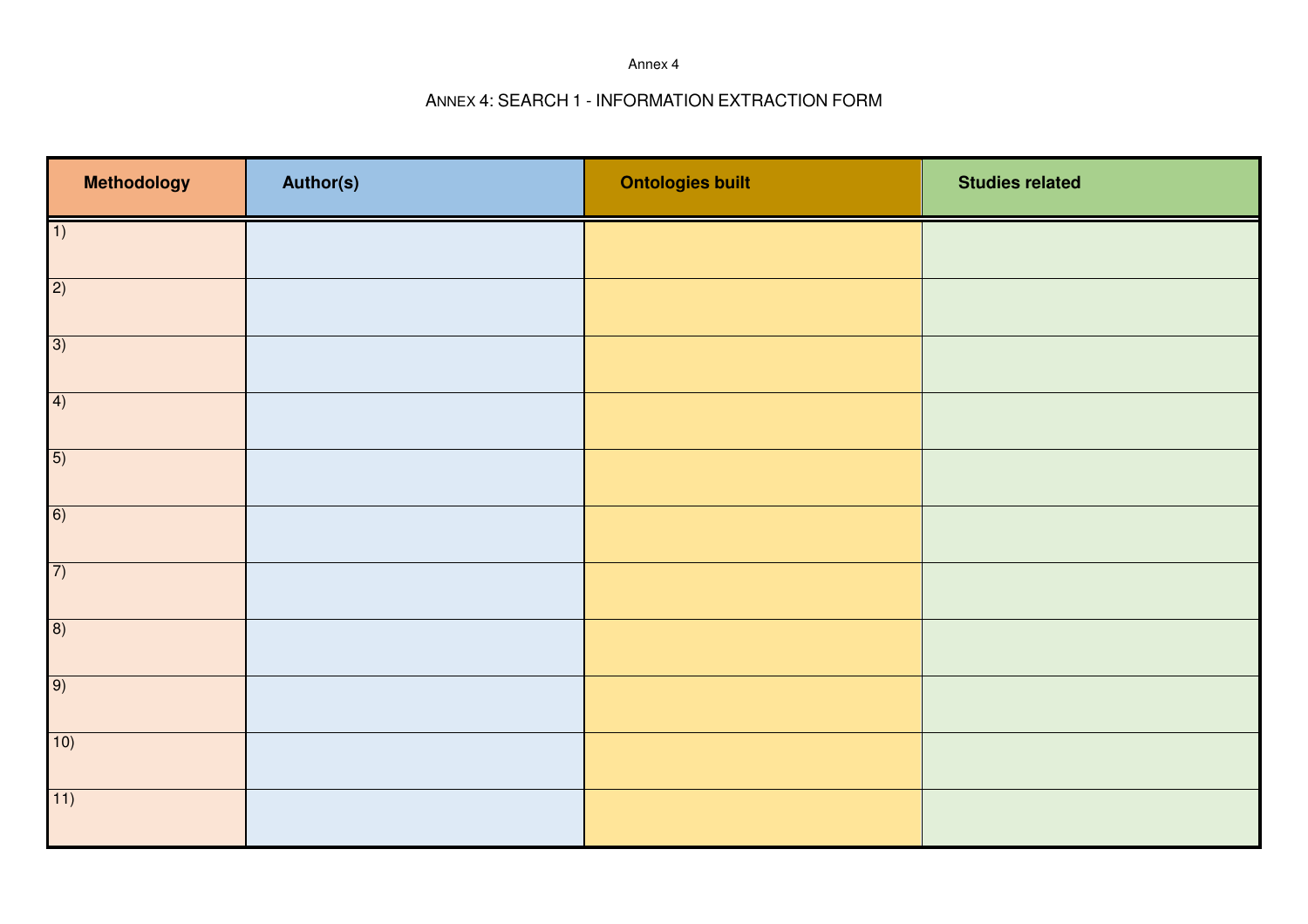# ANNEX 4: SEARCH <sup>1</sup> - INFORMATION EXTRACTION FORM

| <b>Methodology</b> | Author(s) | <b>Ontologies built</b> | <b>Studies related</b> |
|--------------------|-----------|-------------------------|------------------------|
| $\vert 1 \rangle$  |           |                         |                        |
| $\overline{2}$     |           |                         |                        |
| 3)                 |           |                         |                        |
| $\overline{4)}$    |           |                         |                        |
| $\overline{5)}$    |           |                         |                        |
| 6)                 |           |                         |                        |
| $\overline{7}$     |           |                         |                        |
| $\vert 8)$         |           |                         |                        |
| $\overline{9)}$    |           |                         |                        |
| 10)                |           |                         |                        |
| $\overline{11)}$   |           |                         |                        |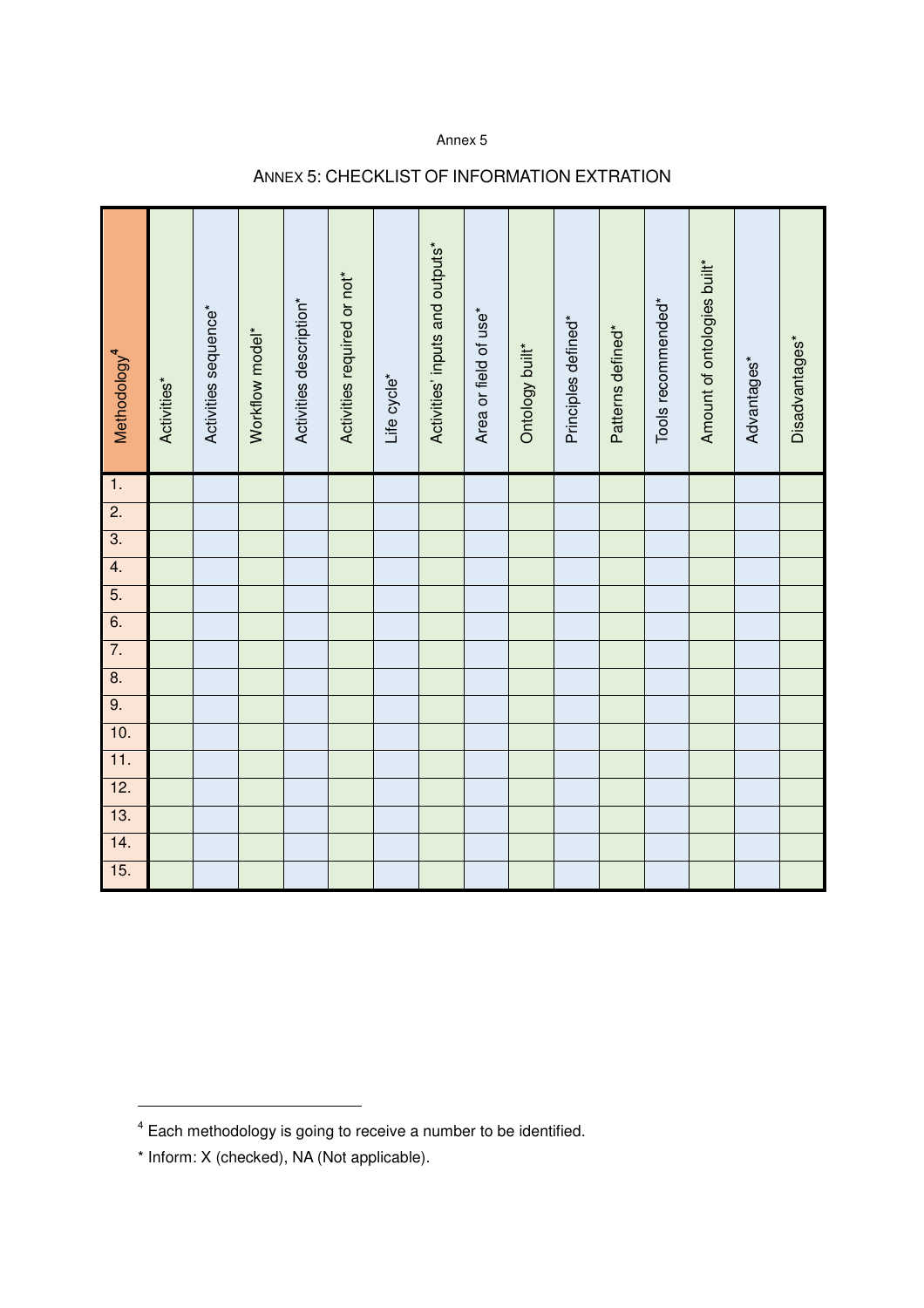| Methodology <sup>4</sup> | Activities* | Activities sequence* | Workflow model* | Activities description* | Activities required or not* | Life cycle* | Activities' inputs and outputs* | Area or field of use* | Ontology built* | Principles defined* | Patterns defined* | Tools recommended* | Amount of ontologies built* | Advantages* | Disadvantages* |
|--------------------------|-------------|----------------------|-----------------|-------------------------|-----------------------------|-------------|---------------------------------|-----------------------|-----------------|---------------------|-------------------|--------------------|-----------------------------|-------------|----------------|
| 1.                       |             |                      |                 |                         |                             |             |                                 |                       |                 |                     |                   |                    |                             |             |                |
| 2.                       |             |                      |                 |                         |                             |             |                                 |                       |                 |                     |                   |                    |                             |             |                |
| 3.                       |             |                      |                 |                         |                             |             |                                 |                       |                 |                     |                   |                    |                             |             |                |
| 4.                       |             |                      |                 |                         |                             |             |                                 |                       |                 |                     |                   |                    |                             |             |                |
| 5.                       |             |                      |                 |                         |                             |             |                                 |                       |                 |                     |                   |                    |                             |             |                |
| 6.                       |             |                      |                 |                         |                             |             |                                 |                       |                 |                     |                   |                    |                             |             |                |
| 7.                       |             |                      |                 |                         |                             |             |                                 |                       |                 |                     |                   |                    |                             |             |                |
| 8.                       |             |                      |                 |                         |                             |             |                                 |                       |                 |                     |                   |                    |                             |             |                |
| 9.                       |             |                      |                 |                         |                             |             |                                 |                       |                 |                     |                   |                    |                             |             |                |
| 10.                      |             |                      |                 |                         |                             |             |                                 |                       |                 |                     |                   |                    |                             |             |                |
| 11.                      |             |                      |                 |                         |                             |             |                                 |                       |                 |                     |                   |                    |                             |             |                |
| 12.                      |             |                      |                 |                         |                             |             |                                 |                       |                 |                     |                   |                    |                             |             |                |
| 13.                      |             |                      |                 |                         |                             |             |                                 |                       |                 |                     |                   |                    |                             |             |                |
| 14.                      |             |                      |                 |                         |                             |             |                                 |                       |                 |                     |                   |                    |                             |             |                |
| 15.                      |             |                      |                 |                         |                             |             |                                 |                       |                 |                     |                   |                    |                             |             |                |

## ANNEX 5: CHECKLIST OF INFORMATION EXTRATION

-

 $4$  Each methodology is going to receive a number to be identified.

<sup>\*</sup> Inform: X (checked), NA (Not applicable).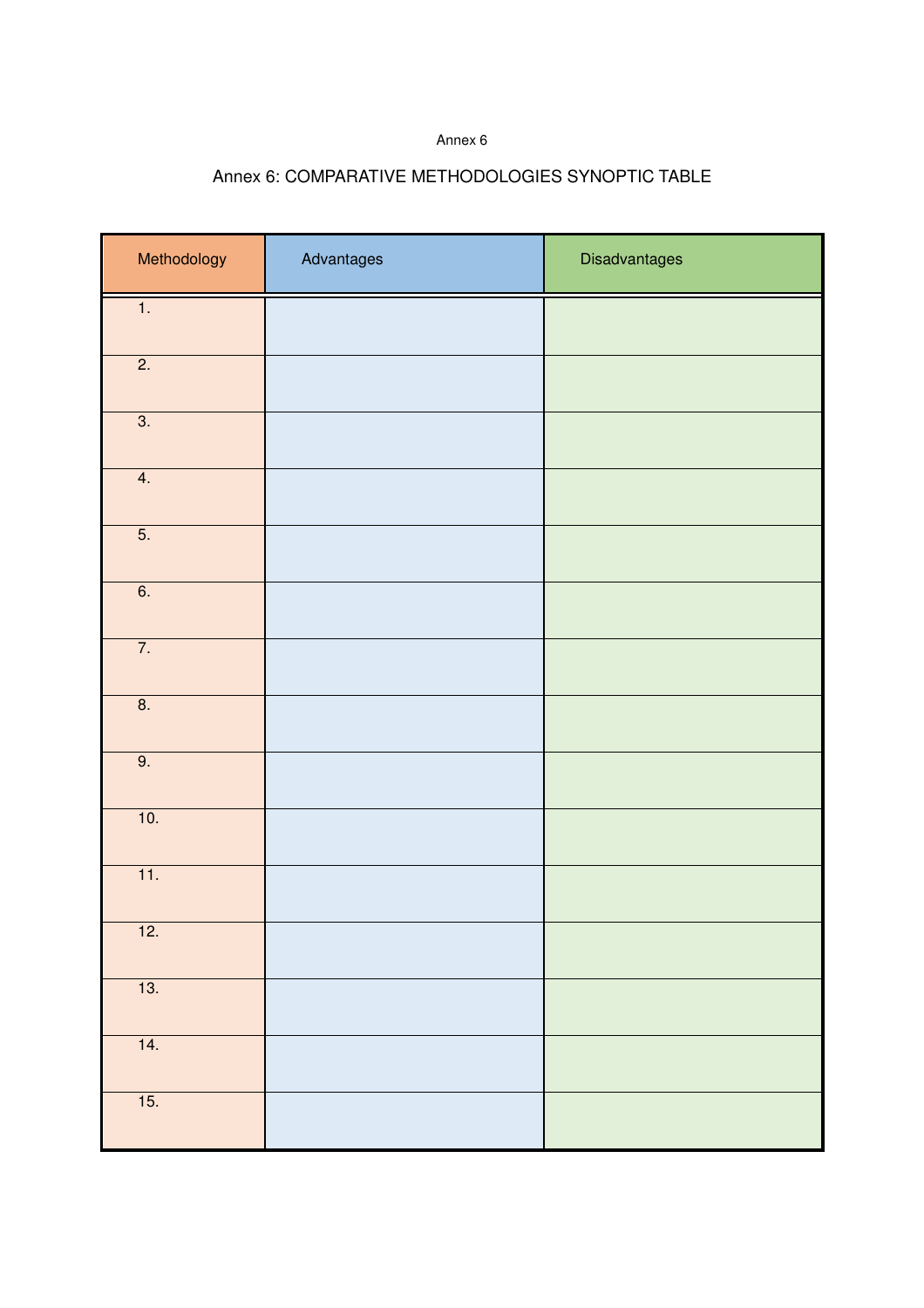# Annex 6: COMPARATIVE METHODOLOGIES SYNOPTIC TABLE

| Methodology      | Advantages | Disadvantages |
|------------------|------------|---------------|
| $\overline{1}$ . |            |               |
| $\overline{2}$ . |            |               |
| $\overline{3}$ . |            |               |
| $\overline{4}$ . |            |               |
| 5.               |            |               |
| 6.               |            |               |
| $\overline{7}$ . |            |               |
| $\overline{8}$ . |            |               |
| 9.               |            |               |
| 10.              |            |               |
| 11.              |            |               |
| 12.              |            |               |
| 13.              |            |               |
| 14.              |            |               |
| 15.              |            |               |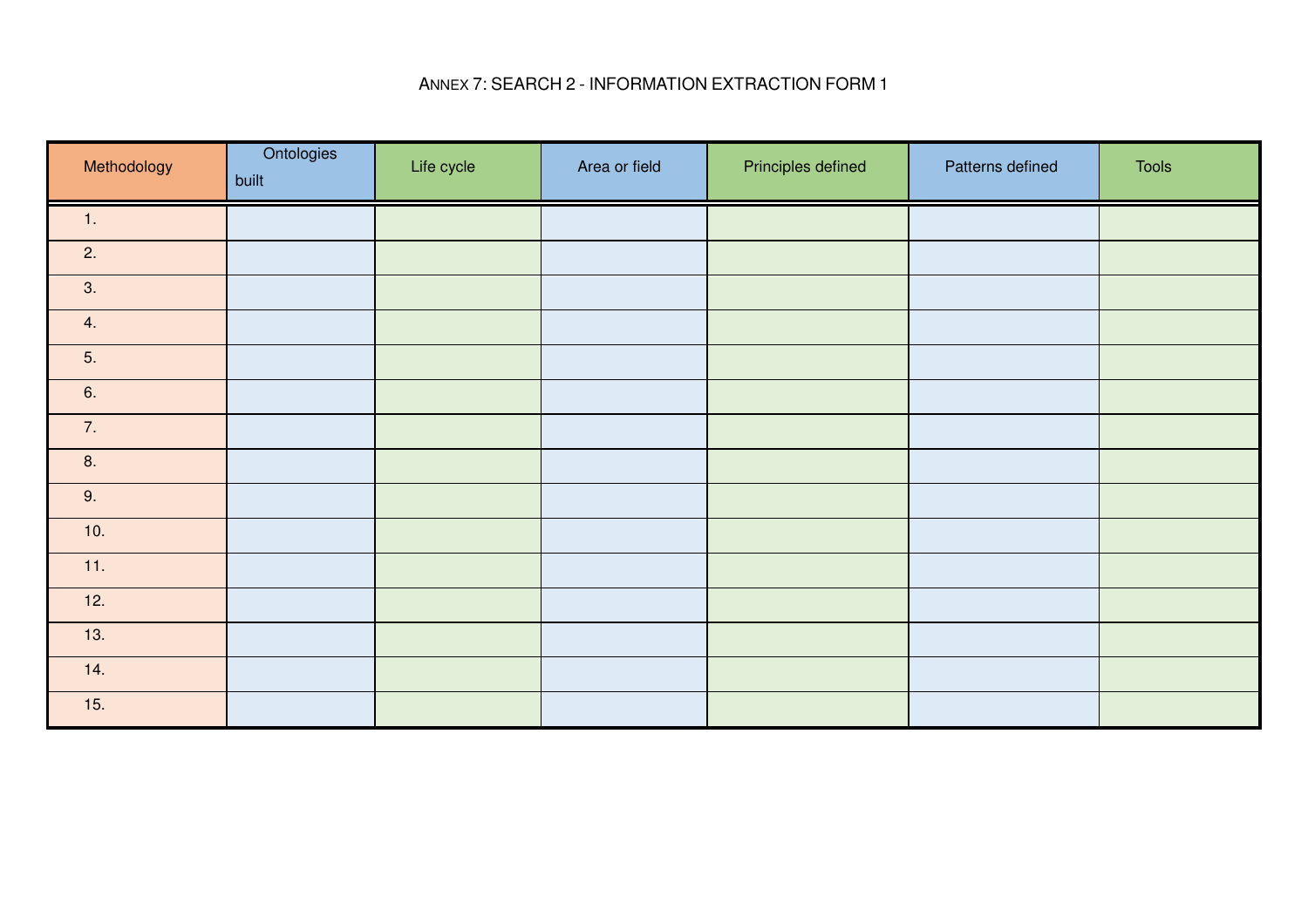# ANNEX 7: SEARCH <sup>2</sup> - INFORMATION EXTRACTION FORM <sup>1</sup>

| Methodology | Ontologies<br>built | Life cycle | Area or field | Principles defined | Patterns defined | <b>Tools</b> |
|-------------|---------------------|------------|---------------|--------------------|------------------|--------------|
| 1.          |                     |            |               |                    |                  |              |
| 2.          |                     |            |               |                    |                  |              |
| 3.          |                     |            |               |                    |                  |              |
| 4.          |                     |            |               |                    |                  |              |
| 5.          |                     |            |               |                    |                  |              |
| 6.          |                     |            |               |                    |                  |              |
| 7.          |                     |            |               |                    |                  |              |
| 8.          |                     |            |               |                    |                  |              |
| 9.          |                     |            |               |                    |                  |              |
| 10.         |                     |            |               |                    |                  |              |
| 11.         |                     |            |               |                    |                  |              |
| 12.         |                     |            |               |                    |                  |              |
| 13.         |                     |            |               |                    |                  |              |
| 14.         |                     |            |               |                    |                  |              |
| 15.         |                     |            |               |                    |                  |              |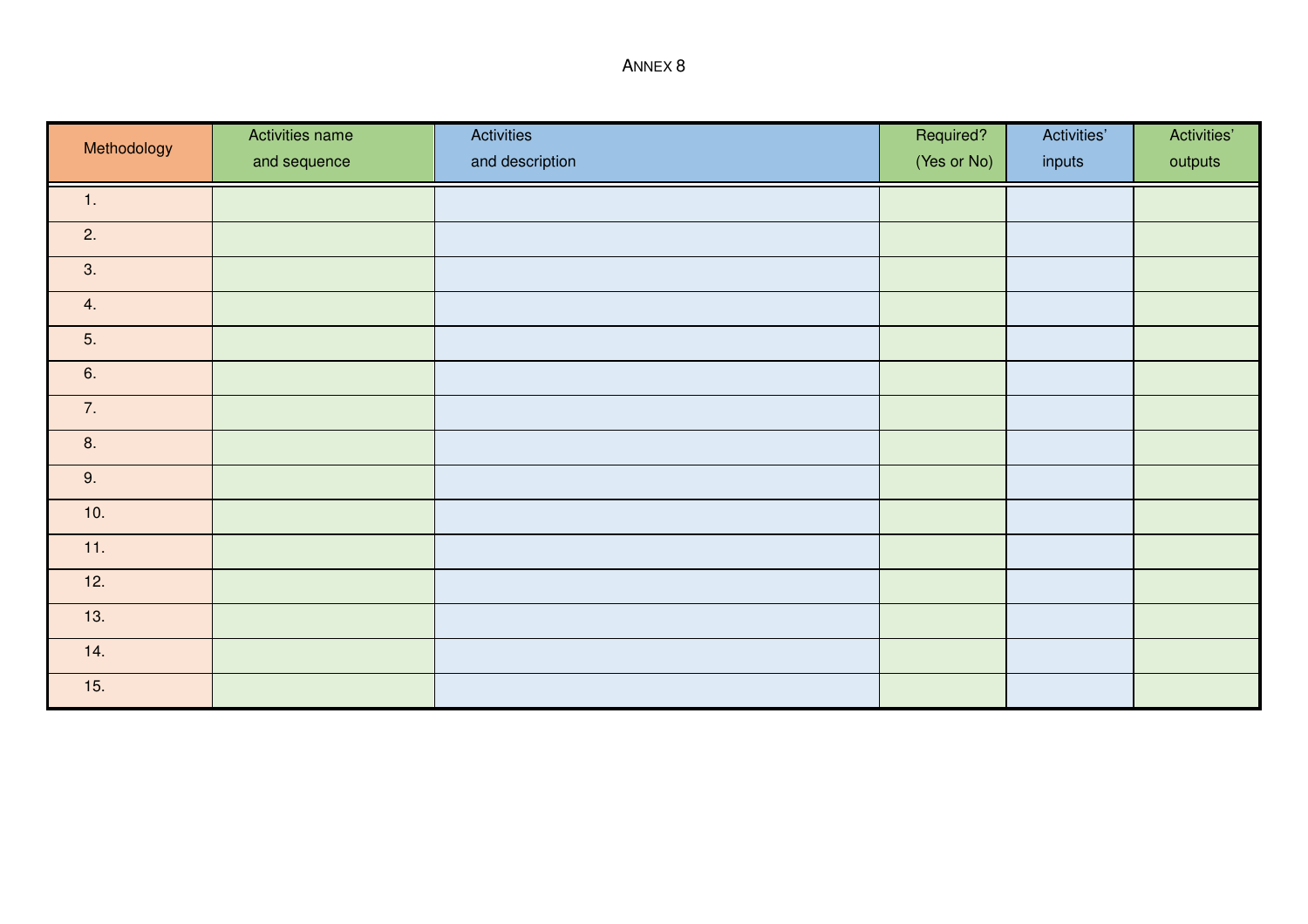ANNEX 8

| Methodology      | Activities name<br>and sequence | Activities<br>and description | Required?<br>(Yes or No) | Activities'<br>inputs | Activities'<br>outputs |
|------------------|---------------------------------|-------------------------------|--------------------------|-----------------------|------------------------|
| $\overline{1}$ . |                                 |                               |                          |                       |                        |
| 2.               |                                 |                               |                          |                       |                        |
| 3.               |                                 |                               |                          |                       |                        |
| 4.               |                                 |                               |                          |                       |                        |
| 5.               |                                 |                               |                          |                       |                        |
| 6.               |                                 |                               |                          |                       |                        |
| 7.               |                                 |                               |                          |                       |                        |
| 8.               |                                 |                               |                          |                       |                        |
| 9.               |                                 |                               |                          |                       |                        |
| 10.              |                                 |                               |                          |                       |                        |
| 11.              |                                 |                               |                          |                       |                        |
| 12.              |                                 |                               |                          |                       |                        |
| 13.              |                                 |                               |                          |                       |                        |
| 14.              |                                 |                               |                          |                       |                        |
| 15.              |                                 |                               |                          |                       |                        |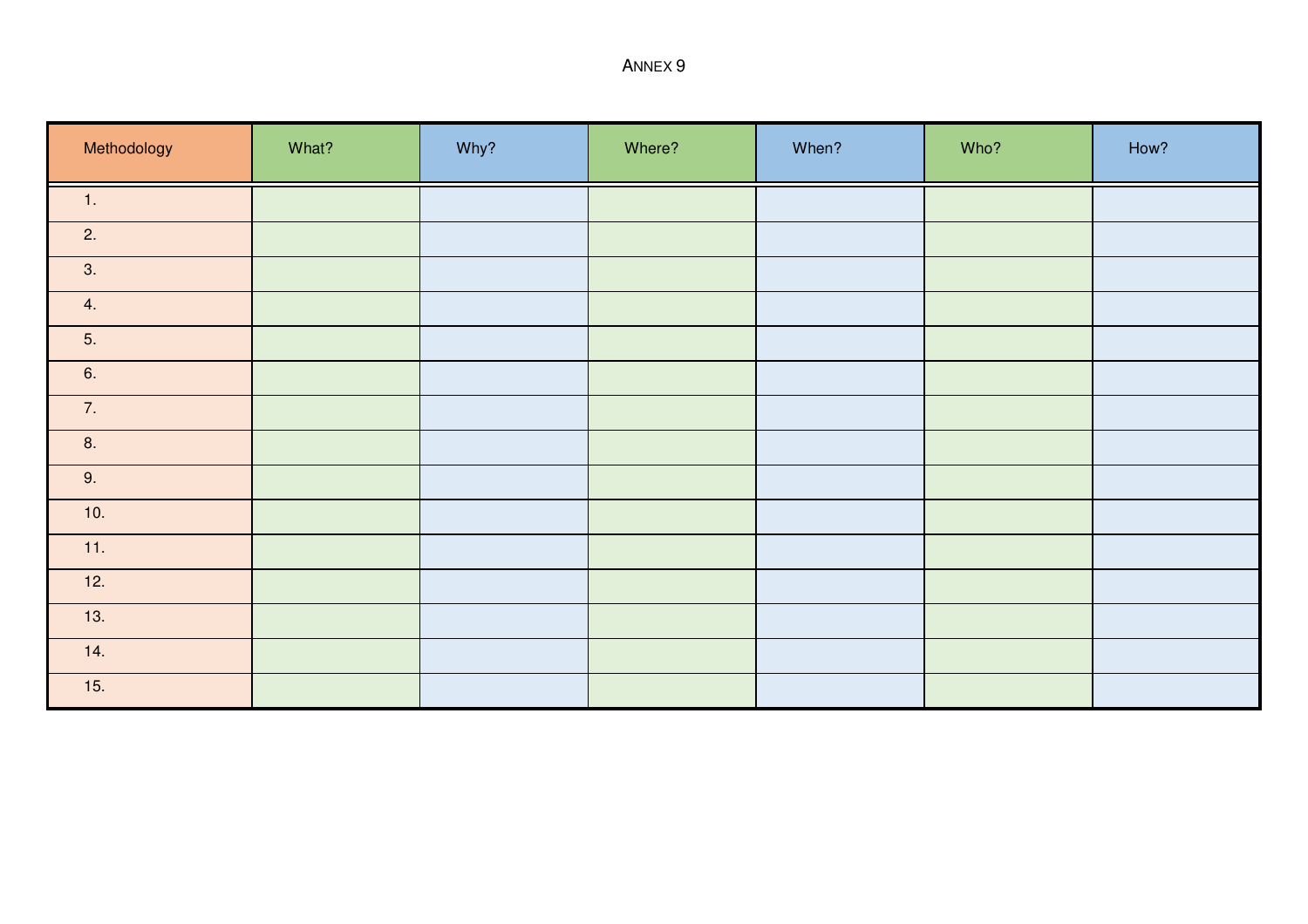ANNEX 9

| Methodology | What? | Why? | Where? | When? | Who? | How? |
|-------------|-------|------|--------|-------|------|------|
| 1.          |       |      |        |       |      |      |
| 2.          |       |      |        |       |      |      |
| 3.          |       |      |        |       |      |      |
| 4.          |       |      |        |       |      |      |
| 5.          |       |      |        |       |      |      |
| 6.          |       |      |        |       |      |      |
| 7.          |       |      |        |       |      |      |
| 8.          |       |      |        |       |      |      |
| 9.          |       |      |        |       |      |      |
| 10.         |       |      |        |       |      |      |
| 11.         |       |      |        |       |      |      |
| 12.         |       |      |        |       |      |      |
| 13.         |       |      |        |       |      |      |
| 14.         |       |      |        |       |      |      |
| 15.         |       |      |        |       |      |      |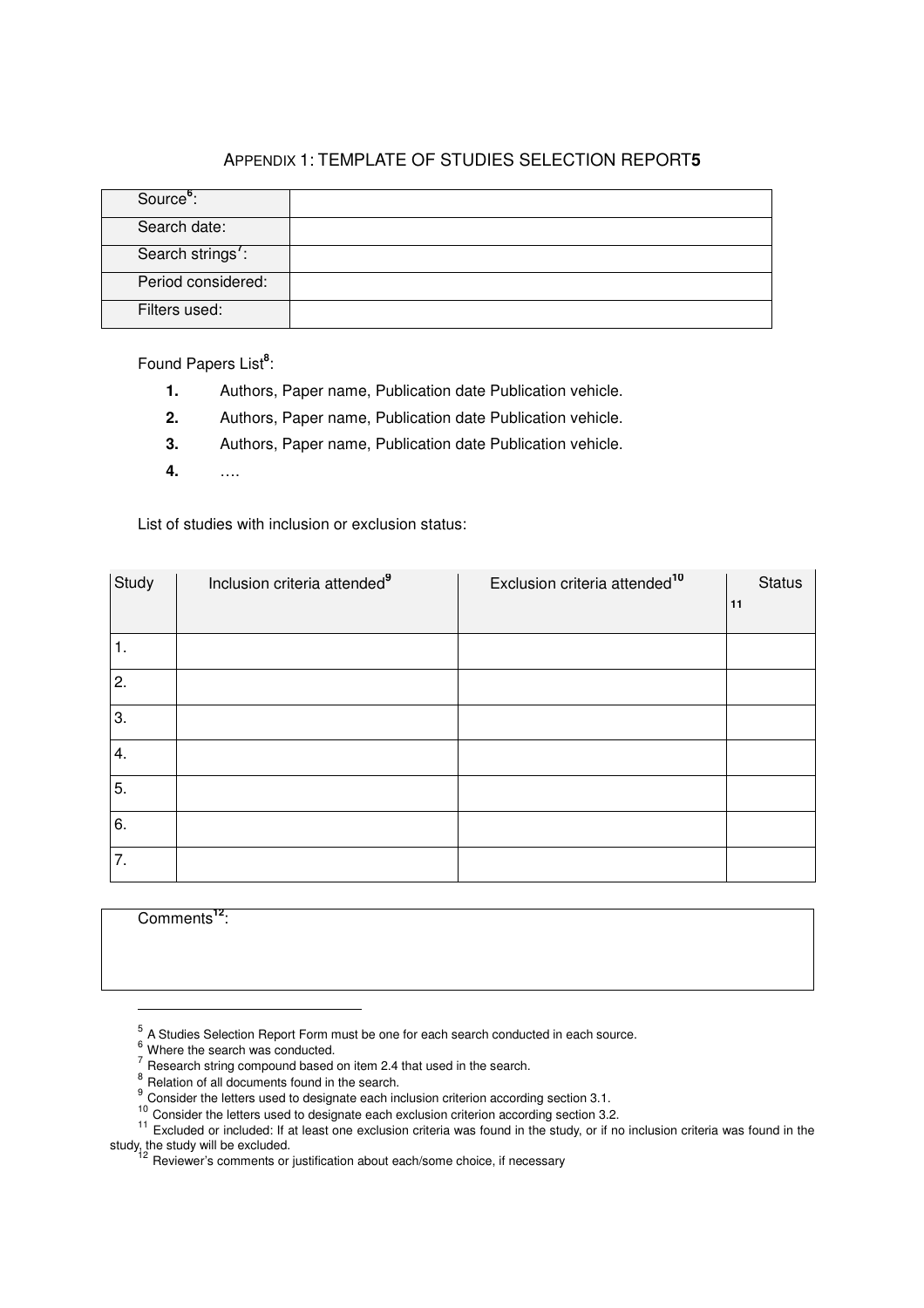# APPENDIX 1: TEMPLATE OF STUDIES SELECTION REPORT**5**

| Source <sup>6</sup> : |  |
|-----------------------|--|
| Search date:          |  |
| Search strings':      |  |
| Period considered:    |  |
| Filters used:         |  |

Found Papers List<sup>8</sup>:

- **1.** Authors, Paper name, Publication date Publication vehicle.
- **2.** Authors, Paper name, Publication date Publication vehicle.
- **3.** Authors, Paper name, Publication date Publication vehicle.
- **4.** ….

List of studies with inclusion or exclusion status:

| Study | Inclusion criteria attended <sup>9</sup> | Exclusion criteria attended <sup>10</sup> | <b>Status</b><br>11 |
|-------|------------------------------------------|-------------------------------------------|---------------------|
| 1.    |                                          |                                           |                     |
| 2.    |                                          |                                           |                     |
| 3.    |                                          |                                           |                     |
| 4.    |                                          |                                           |                     |
| 5.    |                                          |                                           |                     |
| 6.    |                                          |                                           |                     |
| 7.    |                                          |                                           |                     |

Comments**<sup>12</sup>**:

 $\overline{a}$ 

- $<sup>5</sup>$  A Studies Selection Report Form must be one for each search conducted in each source.</sup>
- $<sup>6</sup>$  Where the search was conducted.</sup>

 $\frac{7}{1}$  Research string compound based on item 2.4 that used in the search.

<sup>&</sup>lt;sup>8</sup> Relation of all documents found in the search.

 $\frac{9}{10}$  Consider the letters used to designate each inclusion criterion according section 3.1.<br> $\frac{10}{10}$  Consider the letters used to designate each exclusion criterion according section 3.2.

<sup>&</sup>lt;sup>11</sup> Excluded or included: If at least one exclusion criteria was found in the study, or if no inclusion criteria was found in the study, the study will be excluded.<br><sup>12</sup> Reviewer's comments or justification about each/some choice, if necessary